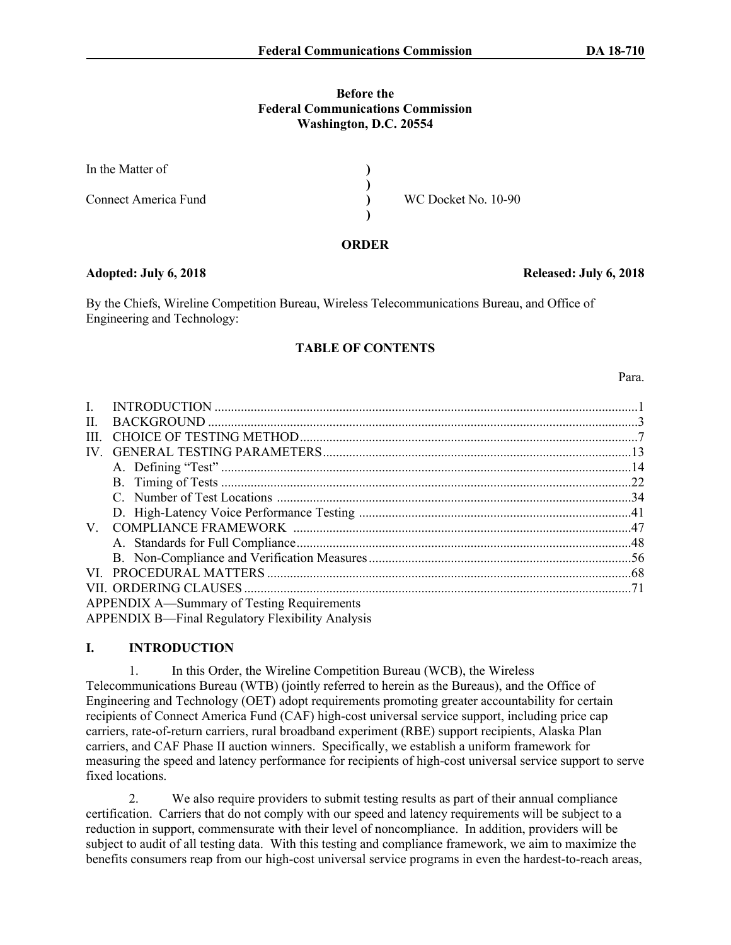#### **Before the Federal Communications Commission Washington, D.C. 20554**

| In the Matter of     |                     |  |
|----------------------|---------------------|--|
| Connect America Fund | WC Docket No. 10-90 |  |

#### **ORDER**

#### **Adopted: July 6, 2018 Released: July 6, 2018**

By the Chiefs, Wireline Competition Bureau, Wireless Telecommunications Bureau, and Office of Engineering and Technology:

#### **TABLE OF CONTENTS**

I. INTRODUCTION .................................................................................................................................1 II. BACKGROUND ...................................................................................................................................3 III. CHOICE OF TESTING METHOD.......................................................................................................7 IV. GENERAL TESTING PARAMETERS..............................................................................................13 A. Defining "Test" .............................................................................................................................14 B. Timing of Tests .............................................................................................................................22 C. Number of Test Locations ............................................................................................................34 D. High-Latency Voice Performance Testing ...................................................................................41 V. COMPLIANCE FRAMEWORK .......................................................................................................47 A. Standards for Full Compliance......................................................................................................48 B. Non-Compliance and Verification Measures................................................................................56 VI. PROCEDURAL MATTERS ...............................................................................................................68 VII. ORDERING CLAUSES ......................................................................................................................71 APPENDIX A—Summary of Testing Requirements APPENDIX B—Final Regulatory Flexibility Analysis

### **I. INTRODUCTION**

1. In this Order, the Wireline Competition Bureau (WCB), the Wireless Telecommunications Bureau (WTB) (jointly referred to herein as the Bureaus), and the Office of Engineering and Technology (OET) adopt requirements promoting greater accountability for certain recipients of Connect America Fund (CAF) high-cost universal service support, including price cap carriers, rate-of-return carriers, rural broadband experiment (RBE) support recipients, Alaska Plan carriers, and CAF Phase II auction winners. Specifically, we establish a uniform framework for measuring the speed and latency performance for recipients of high-cost universal service support to serve fixed locations.

2. We also require providers to submit testing results as part of their annual compliance certification. Carriers that do not comply with our speed and latency requirements will be subject to a reduction in support, commensurate with their level of noncompliance. In addition, providers will be subject to audit of all testing data. With this testing and compliance framework, we aim to maximize the benefits consumers reap from our high-cost universal service programs in even the hardest-to-reach areas,

#### Para.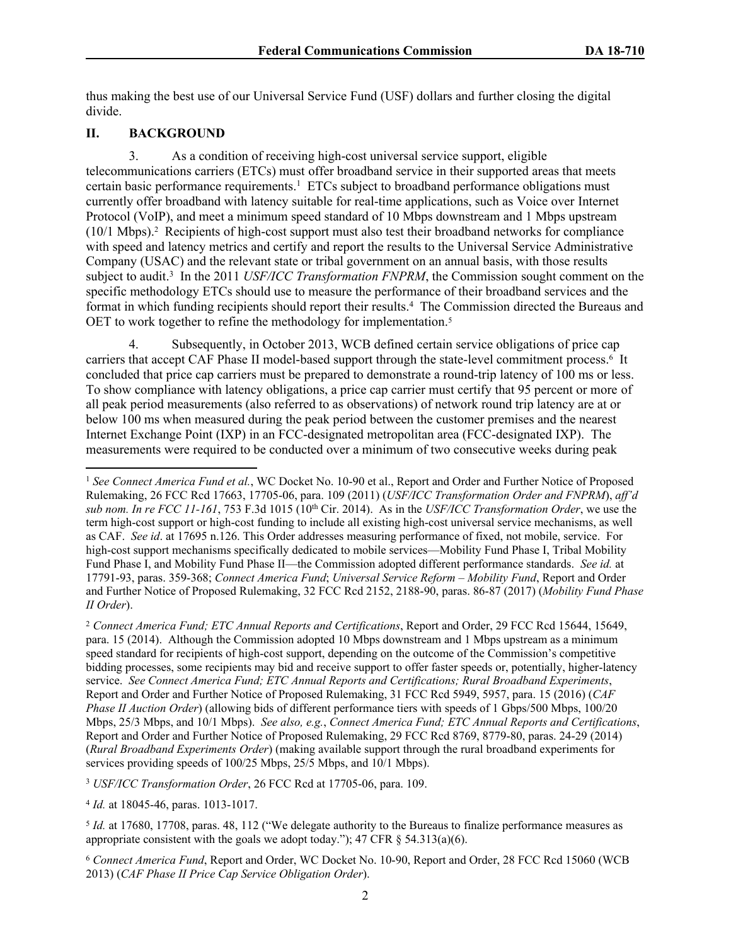thus making the best use of our Universal Service Fund (USF) dollars and further closing the digital divide.

### **II. BACKGROUND**

3. As a condition of receiving high-cost universal service support, eligible telecommunications carriers (ETCs) must offer broadband service in their supported areas that meets certain basic performance requirements.<sup>1</sup> ETCs subject to broadband performance obligations must currently offer broadband with latency suitable for real-time applications, such as Voice over Internet Protocol (VoIP), and meet a minimum speed standard of 10 Mbps downstream and 1 Mbps upstream (10/1 Mbps).<sup>2</sup> Recipients of high-cost support must also test their broadband networks for compliance with speed and latency metrics and certify and report the results to the Universal Service Administrative Company (USAC) and the relevant state or tribal government on an annual basis, with those results subject to audit.<sup>3</sup> In the 2011 *USF/ICC Transformation FNPRM*, the Commission sought comment on the specific methodology ETCs should use to measure the performance of their broadband services and the format in which funding recipients should report their results.<sup>4</sup> The Commission directed the Bureaus and OET to work together to refine the methodology for implementation.<sup>5</sup>

4. Subsequently, in October 2013, WCB defined certain service obligations of price cap carriers that accept CAF Phase II model-based support through the state-level commitment process.<sup>6</sup> It concluded that price cap carriers must be prepared to demonstrate a round-trip latency of 100 ms or less. To show compliance with latency obligations, a price cap carrier must certify that 95 percent or more of all peak period measurements (also referred to as observations) of network round trip latency are at or below 100 ms when measured during the peak period between the customer premises and the nearest Internet Exchange Point (IXP) in an FCC-designated metropolitan area (FCC-designated IXP). The measurements were required to be conducted over a minimum of two consecutive weeks during peak

<sup>2</sup> *Connect America Fund; ETC Annual Reports and Certifications*, Report and Order, 29 FCC Rcd 15644, 15649, para. 15 (2014). Although the Commission adopted 10 Mbps downstream and 1 Mbps upstream as a minimum speed standard for recipients of high-cost support, depending on the outcome of the Commission's competitive bidding processes, some recipients may bid and receive support to offer faster speeds or, potentially, higher-latency service. *See Connect America Fund; ETC Annual Reports and Certifications; Rural Broadband Experiments*, Report and Order and Further Notice of Proposed Rulemaking, 31 FCC Rcd 5949, 5957, para. 15 (2016) (*CAF Phase II Auction Order*) (allowing bids of different performance tiers with speeds of 1 Gbps/500 Mbps, 100/20 Mbps, 25/3 Mbps, and 10/1 Mbps). *See also, e.g.*, *Connect America Fund; ETC Annual Reports and Certifications*, Report and Order and Further Notice of Proposed Rulemaking, 29 FCC Rcd 8769, 8779-80, paras. 24-29 (2014) (*Rural Broadband Experiments Order*) (making available support through the rural broadband experiments for services providing speeds of 100/25 Mbps, 25/5 Mbps, and 10/1 Mbps).

<sup>3</sup> *USF/ICC Transformation Order*, 26 FCC Rcd at 17705-06, para. 109.

4 *Id.* at 18045-46, paras. 1013-1017.

<sup>1</sup> *See Connect America Fund et al.*, WC Docket No. 10-90 et al., Report and Order and Further Notice of Proposed Rulemaking, 26 FCC Rcd 17663, 17705-06, para. 109 (2011) (*USF/ICC Transformation Order and FNPRM*), *aff'd sub nom. In re FCC 11-161*, 753 F.3d 1015 (10th Cir. 2014). As in the *USF/ICC Transformation Order*, we use the term high-cost support or high-cost funding to include all existing high-cost universal service mechanisms, as well as CAF. *See id*. at 17695 n.126. This Order addresses measuring performance of fixed, not mobile, service. For high-cost support mechanisms specifically dedicated to mobile services—Mobility Fund Phase I, Tribal Mobility Fund Phase I, and Mobility Fund Phase II—the Commission adopted different performance standards. *See id.* at 17791-93, paras. 359-368; *Connect America Fund*; *Universal Service Reform – Mobility Fund*, Report and Order and Further Notice of Proposed Rulemaking, 32 FCC Rcd 2152, 2188-90, paras. 86-87 (2017) (*Mobility Fund Phase II Order*).

<sup>5</sup> *Id.* at 17680, 17708, paras. 48, 112 ("We delegate authority to the Bureaus to finalize performance measures as appropriate consistent with the goals we adopt today."); 47 CFR  $\S$  54.313(a)(6).

<sup>6</sup> *Connect America Fund*, Report and Order, WC Docket No. 10-90, Report and Order, 28 FCC Rcd 15060 (WCB 2013) (*CAF Phase II Price Cap Service Obligation Order*).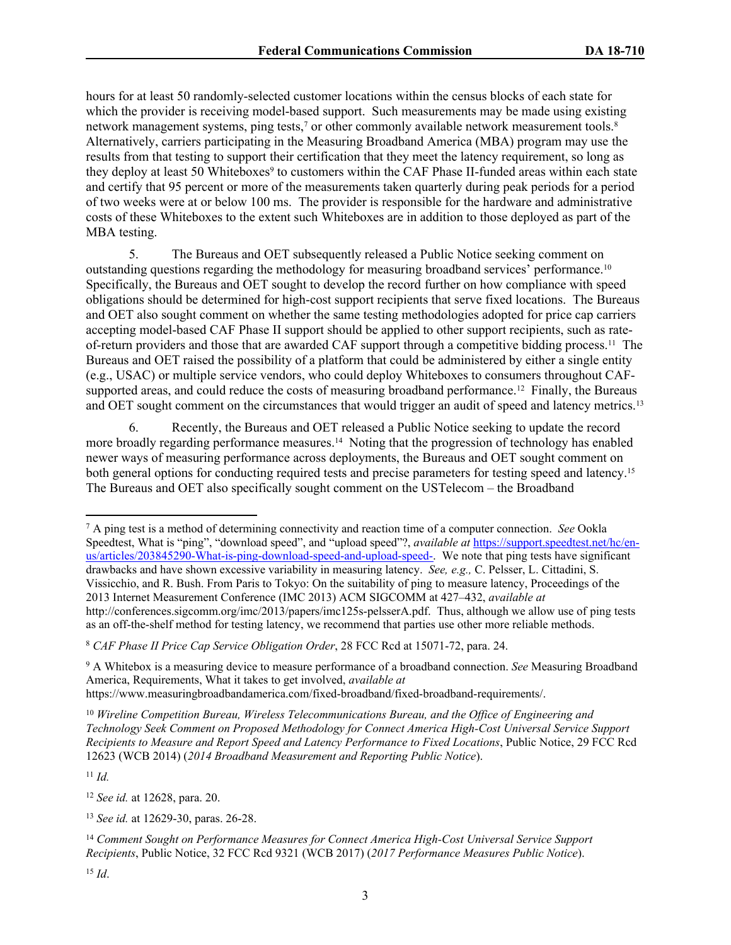hours for at least 50 randomly-selected customer locations within the census blocks of each state for which the provider is receiving model-based support. Such measurements may be made using existing network management systems, ping tests,<sup>7</sup> or other commonly available network measurement tools.<sup>8</sup> Alternatively, carriers participating in the Measuring Broadband America (MBA) program may use the results from that testing to support their certification that they meet the latency requirement, so long as they deploy at least 50 Whiteboxes<sup>9</sup> to customers within the CAF Phase II-funded areas within each state and certify that 95 percent or more of the measurements taken quarterly during peak periods for a period of two weeks were at or below 100 ms. The provider is responsible for the hardware and administrative costs of these Whiteboxes to the extent such Whiteboxes are in addition to those deployed as part of the MBA testing.

5. The Bureaus and OET subsequently released a Public Notice seeking comment on outstanding questions regarding the methodology for measuring broadband services' performance.<sup>10</sup> Specifically, the Bureaus and OET sought to develop the record further on how compliance with speed obligations should be determined for high-cost support recipients that serve fixed locations. The Bureaus and OET also sought comment on whether the same testing methodologies adopted for price cap carriers accepting model-based CAF Phase II support should be applied to other support recipients, such as rateof-return providers and those that are awarded CAF support through a competitive bidding process.<sup>11</sup> The Bureaus and OET raised the possibility of a platform that could be administered by either a single entity (e.g., USAC) or multiple service vendors, who could deploy Whiteboxes to consumers throughout CAFsupported areas, and could reduce the costs of measuring broadband performance.<sup>12</sup> Finally, the Bureaus and OET sought comment on the circumstances that would trigger an audit of speed and latency metrics.<sup>13</sup>

6. Recently, the Bureaus and OET released a Public Notice seeking to update the record more broadly regarding performance measures.<sup>14</sup> Noting that the progression of technology has enabled newer ways of measuring performance across deployments, the Bureaus and OET sought comment on both general options for conducting required tests and precise parameters for testing speed and latency.<sup>15</sup> The Bureaus and OET also specifically sought comment on the USTelecom – the Broadband

<sup>8</sup> *CAF Phase II Price Cap Service Obligation Order*, 28 FCC Rcd at 15071-72, para. 24.

<sup>9</sup> A Whitebox is a measuring device to measure performance of a broadband connection. *See* Measuring Broadband America, Requirements, What it takes to get involved, *available at* https://www.measuringbroadbandamerica.com/fixed-broadband/fixed-broadband-requirements/.

<sup>10</sup> *Wireline Competition Bureau, Wireless Telecommunications Bureau, and the Office of Engineering and Technology Seek Comment on Proposed Methodology for Connect America High-Cost Universal Service Support Recipients to Measure and Report Speed and Latency Performance to Fixed Locations*, Public Notice, 29 FCC Rcd 12623 (WCB 2014) (*2014 Broadband Measurement and Reporting Public Notice*).

<sup>11</sup> *Id.*

<sup>12</sup> *See id.* at 12628, para. 20.

<sup>7</sup> A ping test is a method of determining connectivity and reaction time of a computer connection. *See* Ookla Speedtest, What is "ping", "download speed", and "upload speed"?, *available at* [https://support.speedtest.net/hc/en](https://support.speedtest.net/hc/en-us/articles/203845290-What-is-ping-download-speed-and-upload-speed-)[us/articles/203845290-What-is-ping-download-speed-and-upload-speed-.](https://support.speedtest.net/hc/en-us/articles/203845290-What-is-ping-download-speed-and-upload-speed-) We note that ping tests have significant drawbacks and have shown excessive variability in measuring latency. *See, e.g.,* C. Pelsser, L. Cittadini, S. Vissicchio, and R. Bush. From Paris to Tokyo: On the suitability of ping to measure latency, Proceedings of the 2013 Internet Measurement Conference (IMC 2013) ACM SIGCOMM at 427–432, *available at* http://conferences.sigcomm.org/imc/2013/papers/imc125s-pelsserA.pdf. Thus, although we allow use of ping tests as an off-the-shelf method for testing latency, we recommend that parties use other more reliable methods.

<sup>13</sup> *See id.* at 12629-30, paras. 26-28.

<sup>14</sup> *Comment Sought on Performance Measures for Connect America High-Cost Universal Service Support Recipients*, Public Notice, 32 FCC Rcd 9321 (WCB 2017) (*2017 Performance Measures Public Notice*).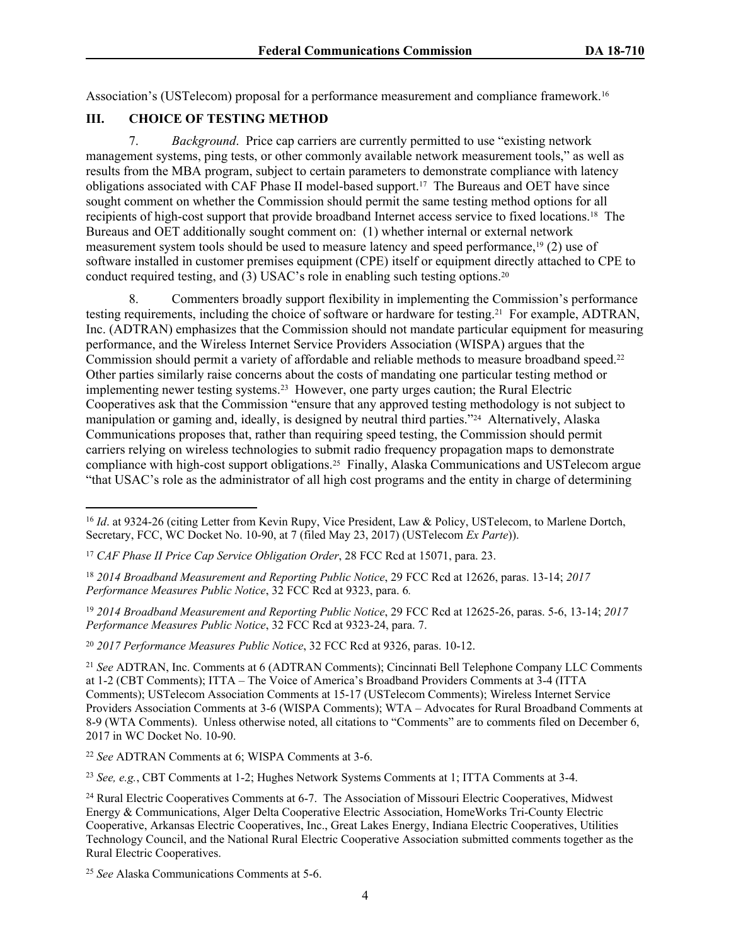Association's (USTelecom) proposal for a performance measurement and compliance framework.<sup>16</sup>

### **III. CHOICE OF TESTING METHOD**

7. *Background*. Price cap carriers are currently permitted to use "existing network management systems, ping tests, or other commonly available network measurement tools," as well as results from the MBA program, subject to certain parameters to demonstrate compliance with latency obligations associated with CAF Phase II model-based support.<sup>17</sup> The Bureaus and OET have since sought comment on whether the Commission should permit the same testing method options for all recipients of high-cost support that provide broadband Internet access service to fixed locations.<sup>18</sup> The Bureaus and OET additionally sought comment on: (1) whether internal or external network measurement system tools should be used to measure latency and speed performance,<sup>19</sup> (2) use of software installed in customer premises equipment (CPE) itself or equipment directly attached to CPE to conduct required testing, and  $(3)$  USAC's role in enabling such testing options.<sup>20</sup>

8. Commenters broadly support flexibility in implementing the Commission's performance testing requirements, including the choice of software or hardware for testing.<sup>21</sup> For example, ADTRAN, Inc. (ADTRAN) emphasizes that the Commission should not mandate particular equipment for measuring performance, and the Wireless Internet Service Providers Association (WISPA) argues that the Commission should permit a variety of affordable and reliable methods to measure broadband speed.<sup>22</sup> Other parties similarly raise concerns about the costs of mandating one particular testing method or implementing newer testing systems.<sup>23</sup> However, one party urges caution; the Rural Electric Cooperatives ask that the Commission "ensure that any approved testing methodology is not subject to manipulation or gaming and, ideally, is designed by neutral third parties."<sup>24</sup> Alternatively, Alaska Communications proposes that, rather than requiring speed testing, the Commission should permit carriers relying on wireless technologies to submit radio frequency propagation maps to demonstrate compliance with high-cost support obligations.<sup>25</sup> Finally, Alaska Communications and USTelecom argue "that USAC's role as the administrator of all high cost programs and the entity in charge of determining

<sup>20</sup> *2017 Performance Measures Public Notice*, 32 FCC Rcd at 9326, paras. 10-12.

<sup>23</sup> *See, e.g.*, CBT Comments at 1-2; Hughes Network Systems Comments at 1; ITTA Comments at 3-4.

<sup>&</sup>lt;sup>16</sup> *Id.* at 9324-26 (citing Letter from Kevin Rupy, Vice President, Law & Policy, USTelecom, to Marlene Dortch, Secretary, FCC, WC Docket No. 10-90, at 7 (filed May 23, 2017) (USTelecom *Ex Parte*)).

<sup>17</sup> *CAF Phase II Price Cap Service Obligation Order*, 28 FCC Rcd at 15071, para. 23.

<sup>18</sup> *2014 Broadband Measurement and Reporting Public Notice*, 29 FCC Rcd at 12626, paras. 13-14; *2017 Performance Measures Public Notice*, 32 FCC Rcd at 9323, para. 6*.*

<sup>19</sup> *2014 Broadband Measurement and Reporting Public Notice*, 29 FCC Rcd at 12625-26, paras. 5-6, 13-14; *2017 Performance Measures Public Notice*, 32 FCC Rcd at 9323-24, para. 7.

<sup>21</sup> *See* ADTRAN, Inc. Comments at 6 (ADTRAN Comments); Cincinnati Bell Telephone Company LLC Comments at 1-2 (CBT Comments); ITTA – The Voice of America's Broadband Providers Comments at 3-4 (ITTA Comments); USTelecom Association Comments at 15-17 (USTelecom Comments); Wireless Internet Service Providers Association Comments at 3-6 (WISPA Comments); WTA – Advocates for Rural Broadband Comments at 8-9 (WTA Comments). Unless otherwise noted, all citations to "Comments" are to comments filed on December 6, 2017 in WC Docket No. 10-90.

<sup>22</sup> *See* ADTRAN Comments at 6; WISPA Comments at 3-6.

<sup>&</sup>lt;sup>24</sup> Rural Electric Cooperatives Comments at 6-7. The Association of Missouri Electric Cooperatives, Midwest Energy & Communications, Alger Delta Cooperative Electric Association, HomeWorks Tri-County Electric Cooperative, Arkansas Electric Cooperatives, Inc., Great Lakes Energy, Indiana Electric Cooperatives, Utilities Technology Council, and the National Rural Electric Cooperative Association submitted comments together as the Rural Electric Cooperatives.

<sup>25</sup> *See* Alaska Communications Comments at 5-6.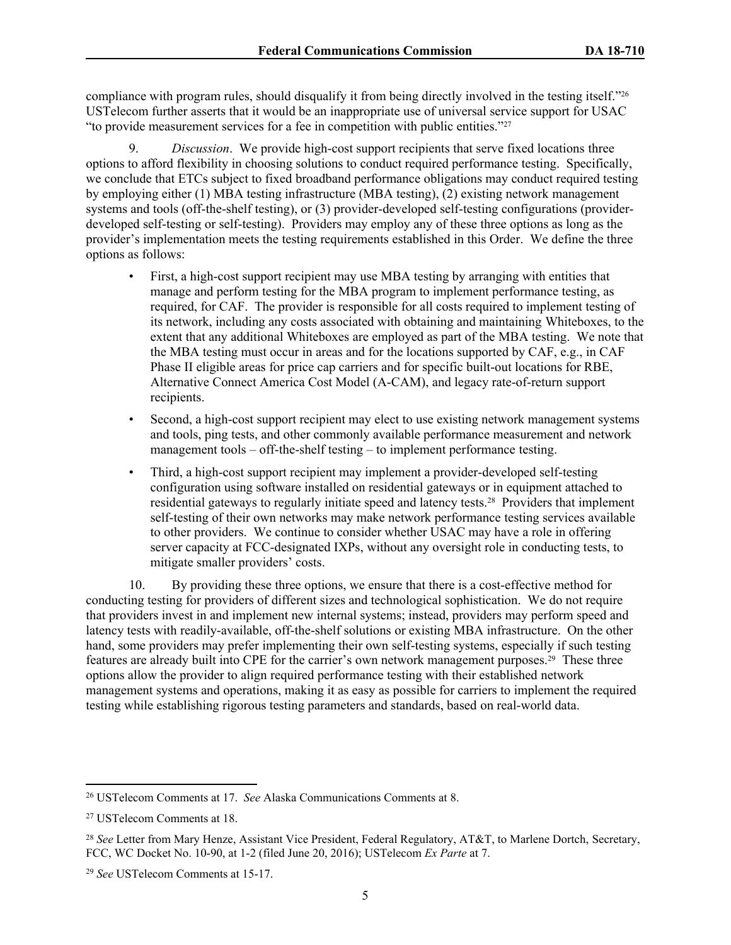compliance with program rules, should disqualify it from being directly involved in the testing itself."<sup>26</sup> USTelecom further asserts that it would be an inappropriate use of universal service support for USAC "to provide measurement services for a fee in competition with public entities."<sup>27</sup>

9. *Discussion*. We provide high-cost support recipients that serve fixed locations three options to afford flexibility in choosing solutions to conduct required performance testing. Specifically, we conclude that ETCs subject to fixed broadband performance obligations may conduct required testing by employing either (1) MBA testing infrastructure (MBA testing), (2) existing network management systems and tools (off-the-shelf testing), or (3) provider-developed self-testing configurations (providerdeveloped self-testing or self-testing). Providers may employ any of these three options as long as the provider's implementation meets the testing requirements established in this Order. We define the three options as follows:

- First, a high-cost support recipient may use MBA testing by arranging with entities that manage and perform testing for the MBA program to implement performance testing, as required, for CAF. The provider is responsible for all costs required to implement testing of its network, including any costs associated with obtaining and maintaining Whiteboxes, to the extent that any additional Whiteboxes are employed as part of the MBA testing. We note that the MBA testing must occur in areas and for the locations supported by CAF, e.g., in CAF Phase II eligible areas for price cap carriers and for specific built-out locations for RBE, Alternative Connect America Cost Model (A-CAM), and legacy rate-of-return support recipients.
- Second, a high-cost support recipient may elect to use existing network management systems and tools, ping tests, and other commonly available performance measurement and network management tools – off-the-shelf testing – to implement performance testing.
- Third, a high-cost support recipient may implement a provider-developed self-testing configuration using software installed on residential gateways or in equipment attached to residential gateways to regularly initiate speed and latency tests.<sup>28</sup> Providers that implement self-testing of their own networks may make network performance testing services available to other providers. We continue to consider whether USAC may have a role in offering server capacity at FCC-designated IXPs, without any oversight role in conducting tests, to mitigate smaller providers' costs.

10. By providing these three options, we ensure that there is a cost-effective method for conducting testing for providers of different sizes and technological sophistication. We do not require that providers invest in and implement new internal systems; instead, providers may perform speed and latency tests with readily-available, off-the-shelf solutions or existing MBA infrastructure. On the other hand, some providers may prefer implementing their own self-testing systems, especially if such testing features are already built into CPE for the carrier's own network management purposes.<sup>29</sup> These three options allow the provider to align required performance testing with their established network management systems and operations, making it as easy as possible for carriers to implement the required testing while establishing rigorous testing parameters and standards, based on real-world data.

<sup>26</sup> USTelecom Comments at 17. *See* Alaska Communications Comments at 8.

<sup>27</sup> USTelecom Comments at 18.

<sup>28</sup> *See* Letter from Mary Henze, Assistant Vice President, Federal Regulatory, AT&T, to Marlene Dortch, Secretary, FCC, WC Docket No. 10-90, at 1-2 (filed June 20, 2016); USTelecom *Ex Parte* at 7.

<sup>29</sup> *See* USTelecom Comments at 15-17.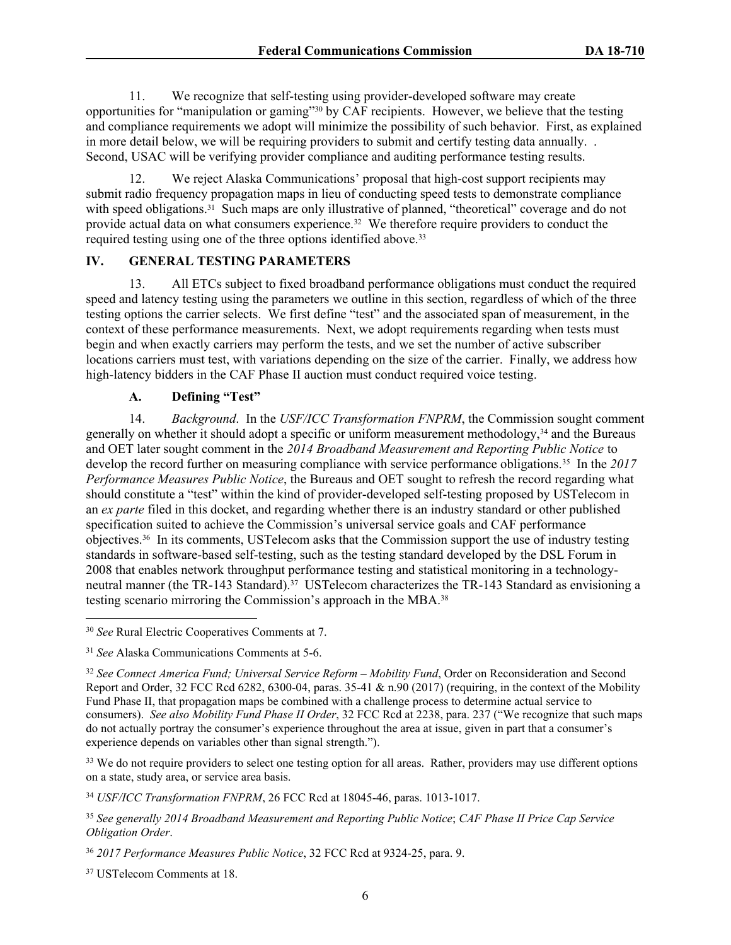11. We recognize that self-testing using provider-developed software may create opportunities for "manipulation or gaming"<sup>30</sup> by CAF recipients. However, we believe that the testing and compliance requirements we adopt will minimize the possibility of such behavior. First, as explained in more detail below, we will be requiring providers to submit and certify testing data annually. . Second, USAC will be verifying provider compliance and auditing performance testing results.

12. We reject Alaska Communications' proposal that high-cost support recipients may submit radio frequency propagation maps in lieu of conducting speed tests to demonstrate compliance with speed obligations.<sup>31</sup> Such maps are only illustrative of planned, "theoretical" coverage and do not provide actual data on what consumers experience.<sup>32</sup> We therefore require providers to conduct the required testing using one of the three options identified above.<sup>33</sup>

### **IV. GENERAL TESTING PARAMETERS**

13. All ETCs subject to fixed broadband performance obligations must conduct the required speed and latency testing using the parameters we outline in this section, regardless of which of the three testing options the carrier selects. We first define "test" and the associated span of measurement, in the context of these performance measurements. Next, we adopt requirements regarding when tests must begin and when exactly carriers may perform the tests, and we set the number of active subscriber locations carriers must test, with variations depending on the size of the carrier. Finally, we address how high-latency bidders in the CAF Phase II auction must conduct required voice testing.

# **A. Defining "Test"**

14. *Background*. In the *USF/ICC Transformation FNPRM*, the Commission sought comment generally on whether it should adopt a specific or uniform measurement methodology,<sup>34</sup> and the Bureaus and OET later sought comment in the *2014 Broadband Measurement and Reporting Public Notice* to develop the record further on measuring compliance with service performance obligations.<sup>35</sup> In the *2017 Performance Measures Public Notice*, the Bureaus and OET sought to refresh the record regarding what should constitute a "test" within the kind of provider-developed self-testing proposed by USTelecom in an *ex parte* filed in this docket, and regarding whether there is an industry standard or other published specification suited to achieve the Commission's universal service goals and CAF performance objectives.<sup>36</sup> In its comments, USTelecom asks that the Commission support the use of industry testing standards in software-based self-testing, such as the testing standard developed by the DSL Forum in 2008 that enables network throughput performance testing and statistical monitoring in a technologyneutral manner (the TR-143 Standard).<sup>37</sup> USTelecom characterizes the TR-143 Standard as envisioning a testing scenario mirroring the Commission's approach in the MBA.<sup>38</sup>

<sup>33</sup> We do not require providers to select one testing option for all areas. Rather, providers may use different options on a state, study area, or service area basis.

<sup>34</sup> *USF/ICC Transformation FNPRM*, 26 FCC Rcd at 18045-46, paras. 1013-1017.

<sup>37</sup> USTelecom Comments at 18.

<sup>30</sup> *See* Rural Electric Cooperatives Comments at 7.

<sup>31</sup> *See* Alaska Communications Comments at 5-6.

<sup>32</sup> *See Connect America Fund; Universal Service Reform – Mobility Fund*, Order on Reconsideration and Second Report and Order, 32 FCC Rcd 6282, 6300-04, paras.  $35-41 \& n.90$  (2017) (requiring, in the context of the Mobility Fund Phase II, that propagation maps be combined with a challenge process to determine actual service to consumers). *See also Mobility Fund Phase II Order*, 32 FCC Rcd at 2238, para. 237 ("We recognize that such maps do not actually portray the consumer's experience throughout the area at issue, given in part that a consumer's experience depends on variables other than signal strength.").

<sup>35</sup> *See generally 2014 Broadband Measurement and Reporting Public Notice*; *CAF Phase II Price Cap Service Obligation Order*.

<sup>36</sup> *2017 Performance Measures Public Notice*, 32 FCC Rcd at 9324-25, para. 9.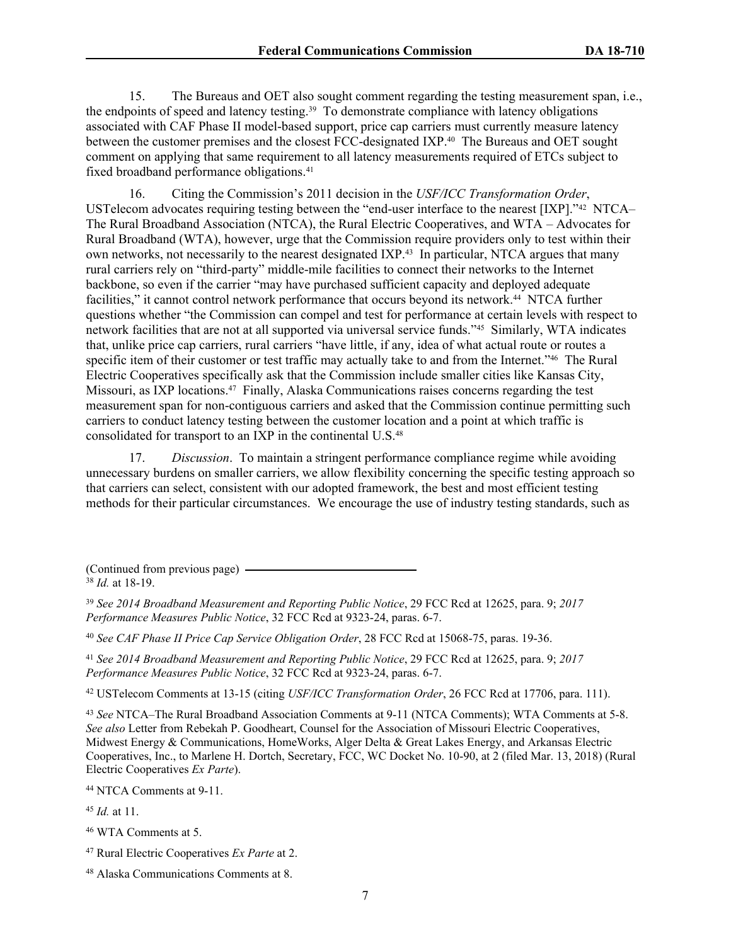15. The Bureaus and OET also sought comment regarding the testing measurement span, i.e., the endpoints of speed and latency testing.<sup>39</sup> To demonstrate compliance with latency obligations associated with CAF Phase II model-based support, price cap carriers must currently measure latency between the customer premises and the closest FCC-designated IXP.<sup>40</sup> The Bureaus and OET sought comment on applying that same requirement to all latency measurements required of ETCs subject to fixed broadband performance obligations.<sup>41</sup>

16. Citing the Commission's 2011 decision in the *USF/ICC Transformation Order*, USTelecom advocates requiring testing between the "end-user interface to the nearest [IXP]."<sup>42</sup> NTCA– The Rural Broadband Association (NTCA), the Rural Electric Cooperatives, and WTA – Advocates for Rural Broadband (WTA), however, urge that the Commission require providers only to test within their own networks, not necessarily to the nearest designated IXP.<sup>43</sup> In particular, NTCA argues that many rural carriers rely on "third-party" middle-mile facilities to connect their networks to the Internet backbone, so even if the carrier "may have purchased sufficient capacity and deployed adequate facilities," it cannot control network performance that occurs beyond its network.<sup>44</sup> NTCA further questions whether "the Commission can compel and test for performance at certain levels with respect to network facilities that are not at all supported via universal service funds."45 Similarly, WTA indicates that, unlike price cap carriers, rural carriers "have little, if any, idea of what actual route or routes a specific item of their customer or test traffic may actually take to and from the Internet."<sup>46</sup> The Rural Electric Cooperatives specifically ask that the Commission include smaller cities like Kansas City, Missouri, as IXP locations.<sup>47</sup> Finally, Alaska Communications raises concerns regarding the test measurement span for non-contiguous carriers and asked that the Commission continue permitting such carriers to conduct latency testing between the customer location and a point at which traffic is consolidated for transport to an IXP in the continental U.S.<sup>48</sup>

17. *Discussion*. To maintain a stringent performance compliance regime while avoiding unnecessary burdens on smaller carriers, we allow flexibility concerning the specific testing approach so that carriers can select, consistent with our adopted framework, the best and most efficient testing methods for their particular circumstances. We encourage the use of industry testing standards, such as

(Continued from previous page) <sup>38</sup> *Id.* at 18-19.

<sup>40</sup> *See CAF Phase II Price Cap Service Obligation Order*, 28 FCC Rcd at 15068-75, paras. 19-36.

<sup>41</sup> *See 2014 Broadband Measurement and Reporting Public Notice*, 29 FCC Rcd at 12625, para. 9; *2017 Performance Measures Public Notice*, 32 FCC Rcd at 9323-24, paras. 6-7.

<sup>42</sup> USTelecom Comments at 13-15 (citing *USF/ICC Transformation Order*, 26 FCC Rcd at 17706, para. 111).

<sup>43</sup> *See* NTCA–The Rural Broadband Association Comments at 9-11 (NTCA Comments); WTA Comments at 5-8. *See also* Letter from Rebekah P. Goodheart, Counsel for the Association of Missouri Electric Cooperatives, Midwest Energy & Communications, HomeWorks, Alger Delta & Great Lakes Energy, and Arkansas Electric Cooperatives, Inc., to Marlene H. Dortch, Secretary, FCC, WC Docket No. 10-90, at 2 (filed Mar. 13, 2018) (Rural Electric Cooperatives *Ex Parte*).

<sup>44</sup> NTCA Comments at 9-11.

<sup>45</sup> *Id.* at 11.

<sup>46</sup> WTA Comments at 5.

<sup>47</sup> Rural Electric Cooperatives *Ex Parte* at 2.

<sup>39</sup> *See 2014 Broadband Measurement and Reporting Public Notice*, 29 FCC Rcd at 12625, para. 9; *2017 Performance Measures Public Notice*, 32 FCC Rcd at 9323-24, paras. 6-7.

<sup>48</sup> Alaska Communications Comments at 8.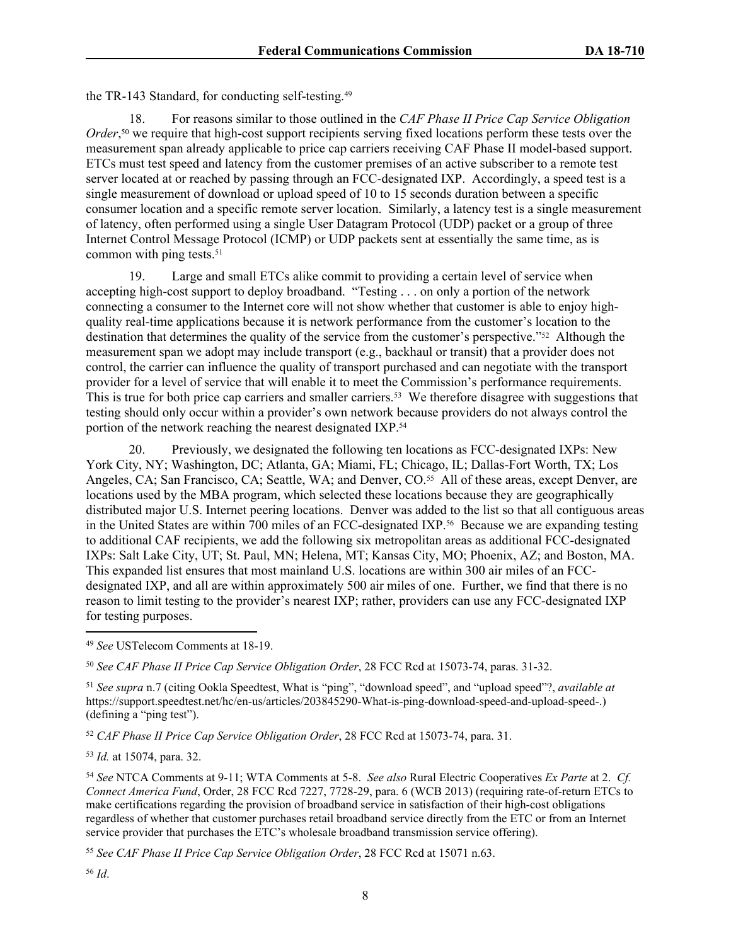the TR-143 Standard, for conducting self-testing.<sup>49</sup>

18. For reasons similar to those outlined in the *CAF Phase II Price Cap Service Obligation* Order,<sup>50</sup> we require that high-cost support recipients serving fixed locations perform these tests over the measurement span already applicable to price cap carriers receiving CAF Phase II model-based support. ETCs must test speed and latency from the customer premises of an active subscriber to a remote test server located at or reached by passing through an FCC-designated IXP. Accordingly, a speed test is a single measurement of download or upload speed of 10 to 15 seconds duration between a specific consumer location and a specific remote server location. Similarly, a latency test is a single measurement of latency, often performed using a single User Datagram Protocol (UDP) packet or a group of three Internet Control Message Protocol (ICMP) or UDP packets sent at essentially the same time, as is common with ping tests.<sup>51</sup>

19. Large and small ETCs alike commit to providing a certain level of service when accepting high-cost support to deploy broadband. "Testing . . . on only a portion of the network connecting a consumer to the Internet core will not show whether that customer is able to enjoy highquality real-time applications because it is network performance from the customer's location to the destination that determines the quality of the service from the customer's perspective."<sup>52</sup> Although the measurement span we adopt may include transport (e.g., backhaul or transit) that a provider does not control, the carrier can influence the quality of transport purchased and can negotiate with the transport provider for a level of service that will enable it to meet the Commission's performance requirements. This is true for both price cap carriers and smaller carriers.<sup>53</sup> We therefore disagree with suggestions that testing should only occur within a provider's own network because providers do not always control the portion of the network reaching the nearest designated IXP.<sup>54</sup>

20. Previously, we designated the following ten locations as FCC-designated IXPs: New York City, NY; Washington, DC; Atlanta, GA; Miami, FL; Chicago, IL; Dallas-Fort Worth, TX; Los Angeles, CA; San Francisco, CA; Seattle, WA; and Denver, CO.<sup>55</sup> All of these areas, except Denver, are locations used by the MBA program, which selected these locations because they are geographically distributed major U.S. Internet peering locations. Denver was added to the list so that all contiguous areas in the United States are within 700 miles of an FCC-designated IXP.<sup>56</sup> Because we are expanding testing to additional CAF recipients, we add the following six metropolitan areas as additional FCC-designated IXPs: Salt Lake City, UT; St. Paul, MN; Helena, MT; Kansas City, MO; Phoenix, AZ; and Boston, MA. This expanded list ensures that most mainland U.S. locations are within 300 air miles of an FCCdesignated IXP, and all are within approximately 500 air miles of one. Further, we find that there is no reason to limit testing to the provider's nearest IXP; rather, providers can use any FCC-designated IXP for testing purposes.

<sup>50</sup> *See CAF Phase II Price Cap Service Obligation Order*, 28 FCC Rcd at 15073-74, paras. 31-32.

<sup>51</sup> *See supra* n.7 (citing Ookla Speedtest, What is "ping", "download speed", and "upload speed"?, *available at* https://support.speedtest.net/hc/en-us/articles/203845290-What-is-ping-download-speed-and-upload-speed-.) (defining a "ping test").

<sup>52</sup> *CAF Phase II Price Cap Service Obligation Order*, 28 FCC Rcd at 15073-74, para. 31.

<sup>53</sup> *Id.* at 15074, para. 32.

<sup>54</sup> *See* NTCA Comments at 9-11; WTA Comments at 5-8. *See also* Rural Electric Cooperatives *Ex Parte* at 2. *Cf. Connect America Fund*, Order, 28 FCC Rcd 7227, 7728-29, para. 6 (WCB 2013) (requiring rate-of-return ETCs to make certifications regarding the provision of broadband service in satisfaction of their high-cost obligations regardless of whether that customer purchases retail broadband service directly from the ETC or from an Internet service provider that purchases the ETC's wholesale broadband transmission service offering).

<sup>55</sup> *See CAF Phase II Price Cap Service Obligation Order*, 28 FCC Rcd at 15071 n.63.

<sup>49</sup> *See* USTelecom Comments at 18-19.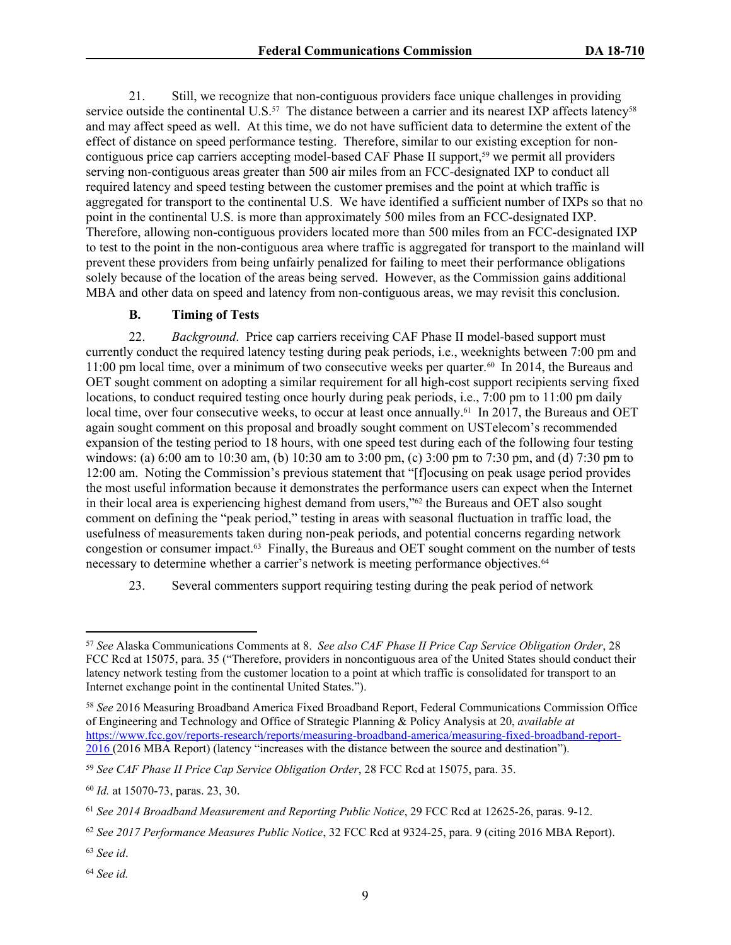21. Still, we recognize that non-contiguous providers face unique challenges in providing service outside the continental U.S.<sup>57</sup> The distance between a carrier and its nearest IXP affects latency<sup>58</sup> and may affect speed as well. At this time, we do not have sufficient data to determine the extent of the effect of distance on speed performance testing. Therefore, similar to our existing exception for noncontiguous price cap carriers accepting model-based CAF Phase II support,<sup>59</sup> we permit all providers serving non-contiguous areas greater than 500 air miles from an FCC-designated IXP to conduct all required latency and speed testing between the customer premises and the point at which traffic is aggregated for transport to the continental U.S. We have identified a sufficient number of IXPs so that no point in the continental U.S. is more than approximately 500 miles from an FCC-designated IXP. Therefore, allowing non-contiguous providers located more than 500 miles from an FCC-designated IXP to test to the point in the non-contiguous area where traffic is aggregated for transport to the mainland will prevent these providers from being unfairly penalized for failing to meet their performance obligations solely because of the location of the areas being served. However, as the Commission gains additional MBA and other data on speed and latency from non-contiguous areas, we may revisit this conclusion.

### **B. Timing of Tests**

22. *Background*. Price cap carriers receiving CAF Phase II model-based support must currently conduct the required latency testing during peak periods, i.e., weeknights between 7:00 pm and 11:00 pm local time, over a minimum of two consecutive weeks per quarter.<sup>60</sup> In 2014, the Bureaus and OET sought comment on adopting a similar requirement for all high-cost support recipients serving fixed locations, to conduct required testing once hourly during peak periods, i.e., 7:00 pm to 11:00 pm daily local time, over four consecutive weeks, to occur at least once annually.<sup>61</sup> In 2017, the Bureaus and OET again sought comment on this proposal and broadly sought comment on USTelecom's recommended expansion of the testing period to 18 hours, with one speed test during each of the following four testing windows: (a) 6:00 am to 10:30 am, (b) 10:30 am to 3:00 pm, (c) 3:00 pm to 7:30 pm, and (d) 7:30 pm to 12:00 am. Noting the Commission's previous statement that "[f]ocusing on peak usage period provides the most useful information because it demonstrates the performance users can expect when the Internet in their local area is experiencing highest demand from users,"<sup>62</sup> the Bureaus and OET also sought comment on defining the "peak period," testing in areas with seasonal fluctuation in traffic load, the usefulness of measurements taken during non-peak periods, and potential concerns regarding network congestion or consumer impact.<sup>63</sup> Finally, the Bureaus and OET sought comment on the number of tests necessary to determine whether a carrier's network is meeting performance objectives.<sup>64</sup>

23. Several commenters support requiring testing during the peak period of network

<sup>57</sup> *See* Alaska Communications Comments at 8. *See also CAF Phase II Price Cap Service Obligation Order*, 28 FCC Rcd at 15075, para. 35 ("Therefore, providers in noncontiguous area of the United States should conduct their latency network testing from the customer location to a point at which traffic is consolidated for transport to an Internet exchange point in the continental United States.").

<sup>58</sup> *See* 2016 Measuring Broadband America Fixed Broadband Report, Federal Communications Commission Office of Engineering and Technology and Office of Strategic Planning & Policy Analysis at 20, *available at* [https://www.fcc.gov/reports-research/reports/measuring-broadband-america/measuring-fixed-broadband-report-](https://www.fcc.gov/reports-research/reports/measuring-broadband-america/measuring-fixed-broadband-report-2016)[2016](https://www.fcc.gov/reports-research/reports/measuring-broadband-america/measuring-fixed-broadband-report-2016) (2016 MBA Report) (latency "increases with the distance between the source and destination").

<sup>59</sup> *See CAF Phase II Price Cap Service Obligation Order*, 28 FCC Rcd at 15075, para. 35.

<sup>60</sup> *Id.* at 15070-73, paras. 23, 30.

<sup>61</sup> *See 2014 Broadband Measurement and Reporting Public Notice*, 29 FCC Rcd at 12625-26, paras. 9-12.

<sup>62</sup> *See 2017 Performance Measures Public Notice*, 32 FCC Rcd at 9324-25, para. 9 (citing 2016 MBA Report).

<sup>63</sup> *See id*.

<sup>64</sup> *See id.*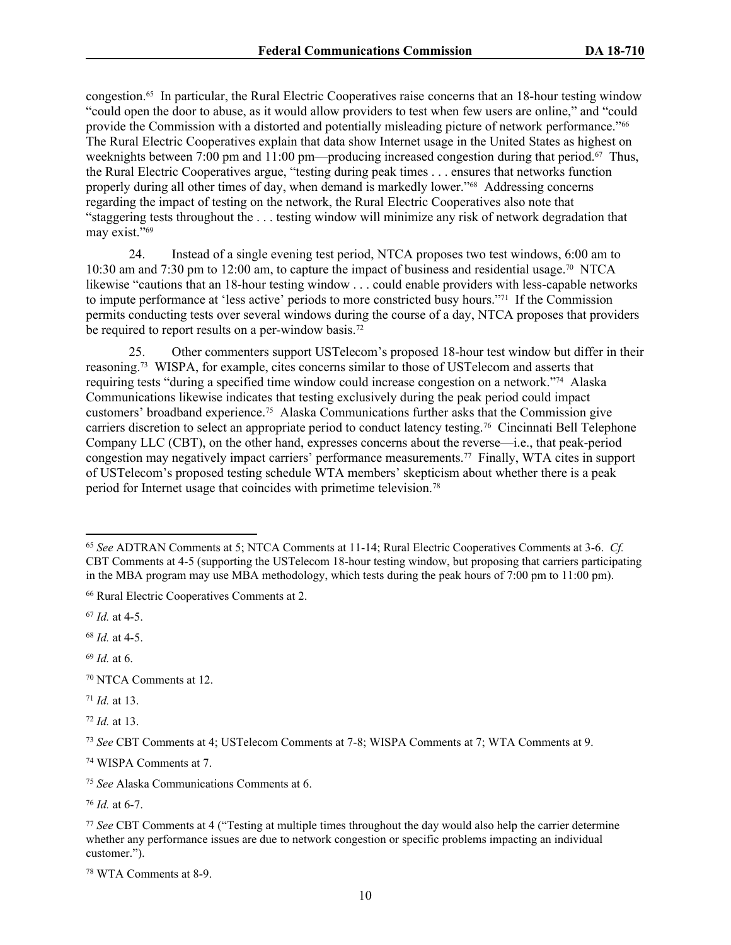congestion.<sup>65</sup> In particular, the Rural Electric Cooperatives raise concerns that an 18-hour testing window "could open the door to abuse, as it would allow providers to test when few users are online," and "could provide the Commission with a distorted and potentially misleading picture of network performance."<sup>66</sup> The Rural Electric Cooperatives explain that data show Internet usage in the United States as highest on weeknights between 7:00 pm and 11:00 pm—producing increased congestion during that period.<sup>67</sup> Thus, the Rural Electric Cooperatives argue, "testing during peak times . . . ensures that networks function properly during all other times of day, when demand is markedly lower."<sup>68</sup> Addressing concerns regarding the impact of testing on the network, the Rural Electric Cooperatives also note that "staggering tests throughout the . . . testing window will minimize any risk of network degradation that may exist."<sup>69</sup>

24. Instead of a single evening test period, NTCA proposes two test windows, 6:00 am to 10:30 am and 7:30 pm to 12:00 am, to capture the impact of business and residential usage.<sup>70</sup> NTCA likewise "cautions that an 18-hour testing window . . . could enable providers with less-capable networks to impute performance at 'less active' periods to more constricted busy hours."<sup>71</sup> If the Commission permits conducting tests over several windows during the course of a day, NTCA proposes that providers be required to report results on a per-window basis.<sup>72</sup>

25. Other commenters support USTelecom's proposed 18-hour test window but differ in their reasoning.<sup>73</sup> WISPA, for example, cites concerns similar to those of USTelecom and asserts that requiring tests "during a specified time window could increase congestion on a network."<sup>74</sup> Alaska Communications likewise indicates that testing exclusively during the peak period could impact customers' broadband experience.<sup>75</sup> Alaska Communications further asks that the Commission give carriers discretion to select an appropriate period to conduct latency testing.<sup>76</sup> Cincinnati Bell Telephone Company LLC (CBT), on the other hand, expresses concerns about the reverse—i.e., that peak-period congestion may negatively impact carriers' performance measurements.<sup>77</sup> Finally, WTA cites in support of USTelecom's proposed testing schedule WTA members' skepticism about whether there is a peak period for Internet usage that coincides with primetime television.<sup>78</sup>

<sup>67</sup> *Id.* at 4-5.

<sup>68</sup> *Id.* at 4-5.

<sup>71</sup> *Id.* at 13.

<sup>72</sup> *Id.* at 13.

<sup>74</sup> WISPA Comments at 7.

<sup>75</sup> *See* Alaska Communications Comments at 6.

<sup>76</sup> *Id.* at 6-7.

<sup>65</sup> *See* ADTRAN Comments at 5; NTCA Comments at 11-14; Rural Electric Cooperatives Comments at 3-6. *Cf.* CBT Comments at 4-5 (supporting the USTelecom 18-hour testing window, but proposing that carriers participating in the MBA program may use MBA methodology, which tests during the peak hours of 7:00 pm to 11:00 pm).

<sup>66</sup> Rural Electric Cooperatives Comments at 2.

<sup>69</sup> *Id.* at 6.

<sup>70</sup> NTCA Comments at 12.

<sup>73</sup> *See* CBT Comments at 4; USTelecom Comments at 7-8; WISPA Comments at 7; WTA Comments at 9.

<sup>77</sup> *See* CBT Comments at 4 ("Testing at multiple times throughout the day would also help the carrier determine whether any performance issues are due to network congestion or specific problems impacting an individual customer.").

<sup>78</sup> WTA Comments at 8-9.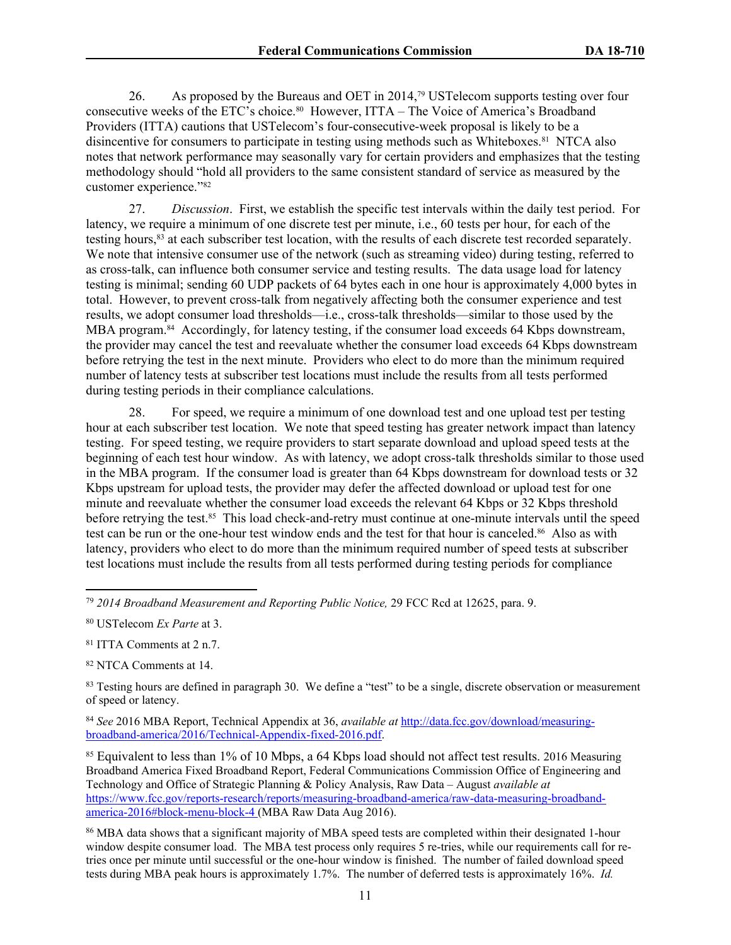26. As proposed by the Bureaus and OET in 2014,<sup>79</sup> USTelecom supports testing over four consecutive weeks of the ETC's choice.<sup>80</sup> However, ITTA – The Voice of America's Broadband Providers (ITTA) cautions that USTelecom's four-consecutive-week proposal is likely to be a disincentive for consumers to participate in testing using methods such as Whiteboxes.<sup>81</sup> NTCA also notes that network performance may seasonally vary for certain providers and emphasizes that the testing methodology should "hold all providers to the same consistent standard of service as measured by the customer experience."<sup>82</sup>

27. *Discussion*. First, we establish the specific test intervals within the daily test period. For latency, we require a minimum of one discrete test per minute, i.e., 60 tests per hour, for each of the testing hours,<sup>83</sup> at each subscriber test location, with the results of each discrete test recorded separately. We note that intensive consumer use of the network (such as streaming video) during testing, referred to as cross-talk, can influence both consumer service and testing results. The data usage load for latency testing is minimal; sending 60 UDP packets of 64 bytes each in one hour is approximately 4,000 bytes in total.However, to prevent cross-talk from negatively affecting both the consumer experience and test results, we adopt consumer load thresholds—i.e., cross-talk thresholds—similar to those used by the MBA program.<sup>84</sup> Accordingly, for latency testing, if the consumer load exceeds 64 Kbps downstream, the provider may cancel the test and reevaluate whether the consumer load exceeds 64 Kbps downstream before retrying the test in the next minute. Providers who elect to do more than the minimum required number of latency tests at subscriber test locations must include the results from all tests performed during testing periods in their compliance calculations.

28. For speed, we require a minimum of one download test and one upload test per testing hour at each subscriber test location. We note that speed testing has greater network impact than latency testing. For speed testing, we require providers to start separate download and upload speed tests at the beginning of each test hour window. As with latency, we adopt cross-talk thresholds similar to those used in the MBA program. If the consumer load is greater than 64 Kbps downstream for download tests or 32 Kbps upstream for upload tests, the provider may defer the affected download or upload test for one minute and reevaluate whether the consumer load exceeds the relevant 64 Kbps or 32 Kbps threshold before retrying the test.<sup>85</sup> This load check-and-retry must continue at one-minute intervals until the speed test can be run or the one-hour test window ends and the test for that hour is canceled.<sup>86</sup> Also as with latency, providers who elect to do more than the minimum required number of speed tests at subscriber test locations must include the results from all tests performed during testing periods for compliance

<sup>82</sup> NTCA Comments at 14.

<sup>84</sup> *See* 2016 MBA Report, Technical Appendix at 36, *available at* [http://data.fcc.gov/download/measuring](http://data.fcc.gov/download/measuring-broadband-america/2016/Technical-Appendix-fixed-2016.pdf)[broadband-america/2016/Technical-Appendix-fixed-2016.pdf.](http://data.fcc.gov/download/measuring-broadband-america/2016/Technical-Appendix-fixed-2016.pdf)

<sup>85</sup> Equivalent to less than 1% of 10 Mbps, a 64 Kbps load should not affect test results. 2016 Measuring Broadband America Fixed Broadband Report, Federal Communications Commission Office of Engineering and Technology and Office of Strategic Planning & Policy Analysis, Raw Data – August *available at* https://www.fcc.gov/reports-research/reports/measuring-broadband-america/raw-data-measuring-broadbandamerica-2016#block-menu-block-4 (MBA Raw Data Aug 2016).

<sup>86</sup> MBA data shows that a significant majority of MBA speed tests are completed within their designated 1-hour window despite consumer load. The MBA test process only requires 5 re-tries, while our requirements call for retries once per minute until successful or the one-hour window is finished. The number of failed download speed tests during MBA peak hours is approximately 1.7%. The number of deferred tests is approximately 16%. *Id.*

<sup>79</sup> *2014 Broadband Measurement and Reporting Public Notice,* 29 FCC Rcd at 12625, para. 9.

<sup>80</sup> USTelecom *Ex Parte* at 3.

<sup>81</sup> ITTA Comments at 2 n.7.

<sup>&</sup>lt;sup>83</sup> Testing hours are defined in paragraph 30. We define a "test" to be a single, discrete observation or measurement of speed or latency.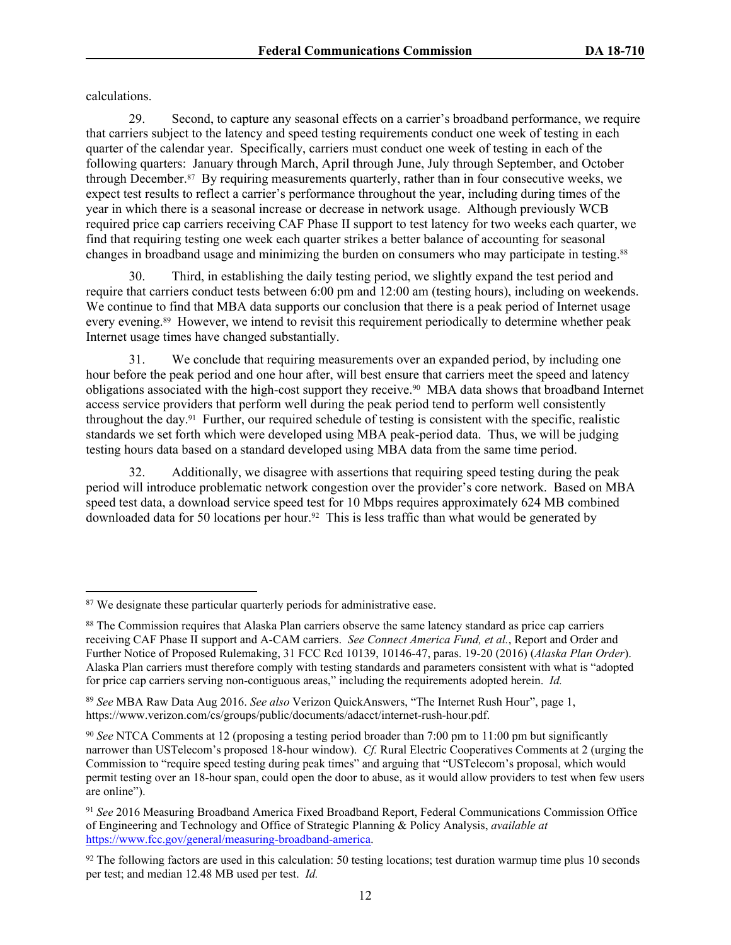calculations.

29. Second, to capture any seasonal effects on a carrier's broadband performance, we require that carriers subject to the latency and speed testing requirements conduct one week of testing in each quarter of the calendar year. Specifically, carriers must conduct one week of testing in each of the following quarters: January through March, April through June, July through September, and October through December.<sup>87</sup> By requiring measurements quarterly, rather than in four consecutive weeks, we expect test results to reflect a carrier's performance throughout the year, including during times of the year in which there is a seasonal increase or decrease in network usage. Although previously WCB required price cap carriers receiving CAF Phase II support to test latency for two weeks each quarter, we find that requiring testing one week each quarter strikes a better balance of accounting for seasonal changes in broadband usage and minimizing the burden on consumers who may participate in testing.<sup>88</sup>

30. Third, in establishing the daily testing period, we slightly expand the test period and require that carriers conduct tests between 6:00 pm and 12:00 am (testing hours), including on weekends. We continue to find that MBA data supports our conclusion that there is a peak period of Internet usage every evening.<sup>89</sup> However, we intend to revisit this requirement periodically to determine whether peak Internet usage times have changed substantially.

31. We conclude that requiring measurements over an expanded period, by including one hour before the peak period and one hour after, will best ensure that carriers meet the speed and latency obligations associated with the high-cost support they receive.<sup>90</sup> MBA data shows that broadband Internet access service providers that perform well during the peak period tend to perform well consistently throughout the day.<sup>91</sup> Further, our required schedule of testing is consistent with the specific, realistic standards we set forth which were developed using MBA peak-period data. Thus, we will be judging testing hours data based on a standard developed using MBA data from the same time period.

32. Additionally, we disagree with assertions that requiring speed testing during the peak period will introduce problematic network congestion over the provider's core network. Based on MBA speed test data, a download service speed test for 10 Mbps requires approximately 624 MB combined downloaded data for 50 locations per hour.<sup>92</sup> This is less traffic than what would be generated by

<sup>&</sup>lt;sup>87</sup> We designate these particular quarterly periods for administrative ease.

<sup>88</sup> The Commission requires that Alaska Plan carriers observe the same latency standard as price cap carriers receiving CAF Phase II support and A-CAM carriers. *See Connect America Fund, et al.*, Report and Order and Further Notice of Proposed Rulemaking, 31 FCC Rcd 10139, 10146-47, paras. 19-20 (2016) (*Alaska Plan Order*). Alaska Plan carriers must therefore comply with testing standards and parameters consistent with what is "adopted for price cap carriers serving non-contiguous areas," including the requirements adopted herein. *Id.*

<sup>89</sup> *See* MBA Raw Data Aug 2016. *See also* Verizon QuickAnswers, "The Internet Rush Hour", page 1, https://www.verizon.com/cs/groups/public/documents/adacct/internet-rush-hour.pdf.

<sup>90</sup> *See* NTCA Comments at 12 (proposing a testing period broader than 7:00 pm to 11:00 pm but significantly narrower than USTelecom's proposed 18-hour window). *Cf.* Rural Electric Cooperatives Comments at 2 (urging the Commission to "require speed testing during peak times" and arguing that "USTelecom's proposal, which would permit testing over an 18-hour span, could open the door to abuse, as it would allow providers to test when few users are online").

<sup>91</sup> *See* 2016 Measuring Broadband America Fixed Broadband Report, Federal Communications Commission Office of Engineering and Technology and Office of Strategic Planning & Policy Analysis, *available at* [https://www.fcc.gov/general/measuring-broadband-america.](https://www.fcc.gov/general/measuring-broadband-america)

 $92$  The following factors are used in this calculation: 50 testing locations; test duration warmup time plus 10 seconds per test; and median 12.48 MB used per test. *Id.*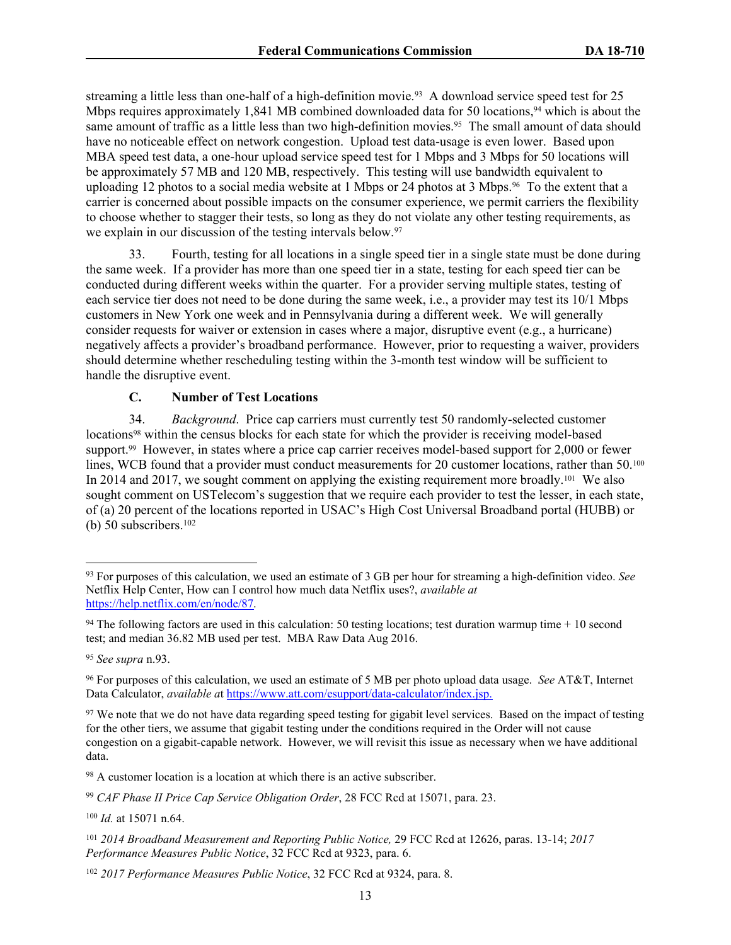streaming a little less than one-half of a high-definition movie.<sup>93</sup> A download service speed test for 25 Mbps requires approximately 1,841 MB combined downloaded data for 50 locations,<sup>94</sup> which is about the same amount of traffic as a little less than two high-definition movies.<sup>95</sup> The small amount of data should have no noticeable effect on network congestion.Upload test data-usage is even lower. Based upon MBA speed test data, a one-hour upload service speed test for 1 Mbps and 3 Mbps for 50 locations will be approximately 57 MB and 120 MB, respectively. This testing will use bandwidth equivalent to uploading 12 photos to a social media website at 1 Mbps or 24 photos at 3 Mbps.<sup>96</sup> To the extent that a carrier is concerned about possible impacts on the consumer experience, we permit carriers the flexibility to choose whether to stagger their tests, so long as they do not violate any other testing requirements, as we explain in our discussion of the testing intervals below.<sup>97</sup>

33. Fourth, testing for all locations in a single speed tier in a single state must be done during the same week. If a provider has more than one speed tier in a state, testing for each speed tier can be conducted during different weeks within the quarter. For a provider serving multiple states, testing of each service tier does not need to be done during the same week, i.e., a provider may test its 10/1 Mbps customers in New York one week and in Pennsylvania during a different week. We will generally consider requests for waiver or extension in cases where a major, disruptive event (e.g., a hurricane) negatively affects a provider's broadband performance. However, prior to requesting a waiver, providers should determine whether rescheduling testing within the 3-month test window will be sufficient to handle the disruptive event.

### **C. Number of Test Locations**

34. *Background*. Price cap carriers must currently test 50 randomly-selected customer locations<sup>98</sup> within the census blocks for each state for which the provider is receiving model-based support.<sup>99</sup> However, in states where a price cap carrier receives model-based support for 2,000 or fewer lines, WCB found that a provider must conduct measurements for 20 customer locations, rather than 50.<sup>100</sup> In 2014 and 2017, we sought comment on applying the existing requirement more broadly.<sup>101</sup> We also sought comment on USTelecom's suggestion that we require each provider to test the lesser, in each state, of (a) 20 percent of the locations reported in USAC's High Cost Universal Broadband portal (HUBB) or (b) 50 subscribers. $102$ 

<sup>100</sup> *Id.* at 15071 n.64.

<sup>93</sup> For purposes of this calculation, we used an estimate of 3 GB per hour for streaming a high-definition video. *See* Netflix Help Center, How can I control how much data Netflix uses?, *available at* [https://help.netflix.com/en/node/87.](https://help.netflix.com/en/node/87)

<sup>&</sup>lt;sup>94</sup> The following factors are used in this calculation: 50 testing locations; test duration warmup time  $+10$  second test; and median 36.82 MB used per test. MBA Raw Data Aug 2016.

<sup>95</sup> *See supra* n.93.

<sup>96</sup> For purposes of this calculation, we used an estimate of 5 MB per photo upload data usage. *See* AT&T, Internet Data Calculator, *available a*t [https://www.att.com/esupport/data-calculator/index.jsp.](https://www.att.com/esupport/data-calculator/index.jsp)

<sup>&</sup>lt;sup>97</sup> We note that we do not have data regarding speed testing for gigabit level services. Based on the impact of testing for the other tiers, we assume that gigabit testing under the conditions required in the Order will not cause congestion on a gigabit-capable network. However, we will revisit this issue as necessary when we have additional data.

<sup>98</sup> A customer location is a location at which there is an active subscriber.

<sup>99</sup> *CAF Phase II Price Cap Service Obligation Order*, 28 FCC Rcd at 15071, para. 23.

<sup>101</sup> *2014 Broadband Measurement and Reporting Public Notice,* 29 FCC Rcd at 12626, paras. 13-14; *2017 Performance Measures Public Notice*, 32 FCC Rcd at 9323, para. 6.

<sup>102</sup> *2017 Performance Measures Public Notice*, 32 FCC Rcd at 9324, para. 8.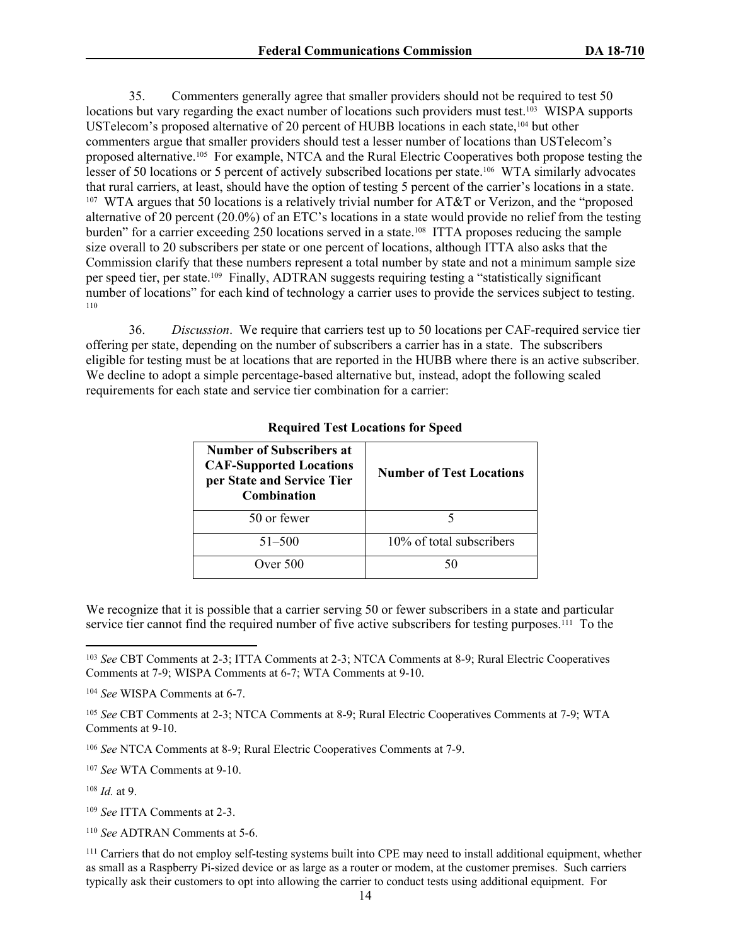35. Commenters generally agree that smaller providers should not be required to test 50 locations but vary regarding the exact number of locations such providers must test.<sup>103</sup> WISPA supports USTelecom's proposed alternative of 20 percent of HUBB locations in each state,<sup>104</sup> but other commenters argue that smaller providers should test a lesser number of locations than USTelecom's proposed alternative.<sup>105</sup> For example, NTCA and the Rural Electric Cooperatives both propose testing the lesser of 50 locations or 5 percent of actively subscribed locations per state.<sup>106</sup> WTA similarly advocates that rural carriers, at least, should have the option of testing 5 percent of the carrier's locations in a state. 107 WTA argues that 50 locations is a relatively trivial number for AT&T or Verizon, and the "proposed alternative of 20 percent (20.0%) of an ETC's locations in a state would provide no relief from the testing burden" for a carrier exceeding 250 locations served in a state.<sup>108</sup> ITTA proposes reducing the sample size overall to 20 subscribers per state or one percent of locations, although ITTA also asks that the Commission clarify that these numbers represent a total number by state and not a minimum sample size per speed tier, per state.<sup>109</sup> Finally, ADTRAN suggests requiring testing a "statistically significant number of locations" for each kind of technology a carrier uses to provide the services subject to testing. 110

36. *Discussion*. We require that carriers test up to 50 locations per CAF-required service tier offering per state, depending on the number of subscribers a carrier has in a state. The subscribers eligible for testing must be at locations that are reported in the HUBB where there is an active subscriber. We decline to adopt a simple percentage-based alternative but, instead, adopt the following scaled requirements for each state and service tier combination for a carrier:

| Number of Subscribers at<br><b>CAF-Supported Locations</b><br>per State and Service Tier<br><b>Combination</b> | <b>Number of Test Locations</b> |  |
|----------------------------------------------------------------------------------------------------------------|---------------------------------|--|
| 50 or fewer                                                                                                    |                                 |  |
| $51 - 500$                                                                                                     | 10% of total subscribers        |  |
| Over $500$                                                                                                     | 50                              |  |

### **Required Test Locations for Speed**

We recognize that it is possible that a carrier serving 50 or fewer subscribers in a state and particular service tier cannot find the required number of five active subscribers for testing purposes.<sup>111</sup> To the

<sup>106</sup> *See* NTCA Comments at 8-9; Rural Electric Cooperatives Comments at 7-9.

<sup>107</sup> *See* WTA Comments at 9-10.

<sup>108</sup> *Id.* at 9.

<sup>109</sup> *See* ITTA Comments at 2-3.

<sup>110</sup> *See* ADTRAN Comments at 5-6.

<sup>103</sup> *See* CBT Comments at 2-3; ITTA Comments at 2-3; NTCA Comments at 8-9; Rural Electric Cooperatives Comments at 7-9; WISPA Comments at 6-7; WTA Comments at 9-10.

<sup>104</sup> *See* WISPA Comments at 6-7.

<sup>105</sup> *See* CBT Comments at 2-3; NTCA Comments at 8-9; Rural Electric Cooperatives Comments at 7-9; WTA Comments at 9-10.

<sup>111</sup> Carriers that do not employ self-testing systems built into CPE may need to install additional equipment, whether as small as a Raspberry Pi-sized device or as large as a router or modem, at the customer premises. Such carriers typically ask their customers to opt into allowing the carrier to conduct tests using additional equipment. For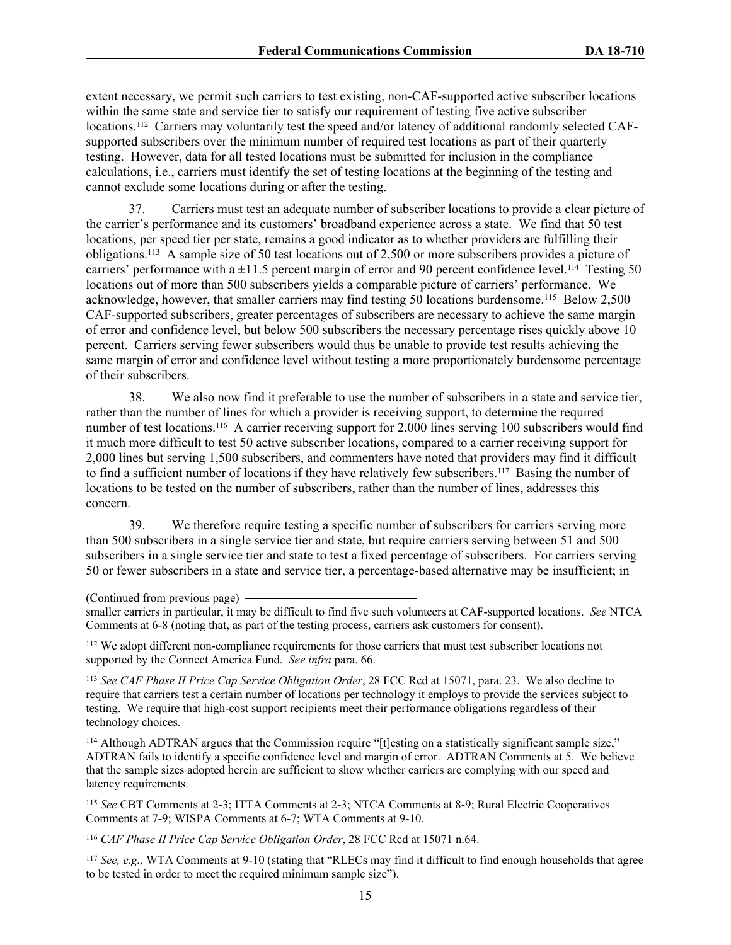extent necessary, we permit such carriers to test existing, non-CAF-supported active subscriber locations within the same state and service tier to satisfy our requirement of testing five active subscriber locations.<sup>112</sup> Carriers may voluntarily test the speed and/or latency of additional randomly selected CAFsupported subscribers over the minimum number of required test locations as part of their quarterly testing. However, data for all tested locations must be submitted for inclusion in the compliance calculations, i.e., carriers must identify the set of testing locations at the beginning of the testing and cannot exclude some locations during or after the testing.

37. Carriers must test an adequate number of subscriber locations to provide a clear picture of the carrier's performance and its customers' broadband experience across a state. We find that 50 test locations, per speed tier per state, remains a good indicator as to whether providers are fulfilling their obligations.<sup>113</sup> A sample size of 50 test locations out of 2,500 or more subscribers provides a picture of carriers' performance with a  $\pm 11.5$  percent margin of error and 90 percent confidence level.<sup>114</sup> Testing 50 locations out of more than 500 subscribers yields a comparable picture of carriers' performance. We acknowledge, however, that smaller carriers may find testing 50 locations burdensome.<sup>115</sup> Below 2,500 CAF-supported subscribers, greater percentages of subscribers are necessary to achieve the same margin of error and confidence level, but below 500 subscribers the necessary percentage rises quickly above 10 percent. Carriers serving fewer subscribers would thus be unable to provide test results achieving the same margin of error and confidence level without testing a more proportionately burdensome percentage of their subscribers.

38. We also now find it preferable to use the number of subscribers in a state and service tier, rather than the number of lines for which a provider is receiving support, to determine the required number of test locations.<sup>116</sup> A carrier receiving support for 2,000 lines serving 100 subscribers would find it much more difficult to test 50 active subscriber locations, compared to a carrier receiving support for 2,000 lines but serving 1,500 subscribers, and commenters have noted that providers may find it difficult to find a sufficient number of locations if they have relatively few subscribers.<sup>117</sup> Basing the number of locations to be tested on the number of subscribers, rather than the number of lines, addresses this concern.

39. We therefore require testing a specific number of subscribers for carriers serving more than 500 subscribers in a single service tier and state, but require carriers serving between 51 and 500 subscribers in a single service tier and state to test a fixed percentage of subscribers. For carriers serving 50 or fewer subscribers in a state and service tier, a percentage-based alternative may be insufficient; in

<sup>112</sup> We adopt different non-compliance requirements for those carriers that must test subscriber locations not supported by the Connect America Fund. *See infra* para. 66.

<sup>113</sup> *See CAF Phase II Price Cap Service Obligation Order*, 28 FCC Rcd at 15071, para. 23. We also decline to require that carriers test a certain number of locations per technology it employs to provide the services subject to testing. We require that high-cost support recipients meet their performance obligations regardless of their technology choices.

<sup>114</sup> Although ADTRAN argues that the Commission require "[t]esting on a statistically significant sample size," ADTRAN fails to identify a specific confidence level and margin of error. ADTRAN Comments at 5. We believe that the sample sizes adopted herein are sufficient to show whether carriers are complying with our speed and latency requirements.

<sup>115</sup> *See* CBT Comments at 2-3; ITTA Comments at 2-3; NTCA Comments at 8-9; Rural Electric Cooperatives Comments at 7-9; WISPA Comments at 6-7; WTA Comments at 9-10.

<sup>116</sup> *CAF Phase II Price Cap Service Obligation Order*, 28 FCC Rcd at 15071 n.64.

<sup>117</sup> *See, e.g.,* WTA Comments at 9-10 (stating that "RLECs may find it difficult to find enough households that agree to be tested in order to meet the required minimum sample size").

<sup>(</sup>Continued from previous page)

smaller carriers in particular, it may be difficult to find five such volunteers at CAF-supported locations. *See* NTCA Comments at 6-8 (noting that, as part of the testing process, carriers ask customers for consent).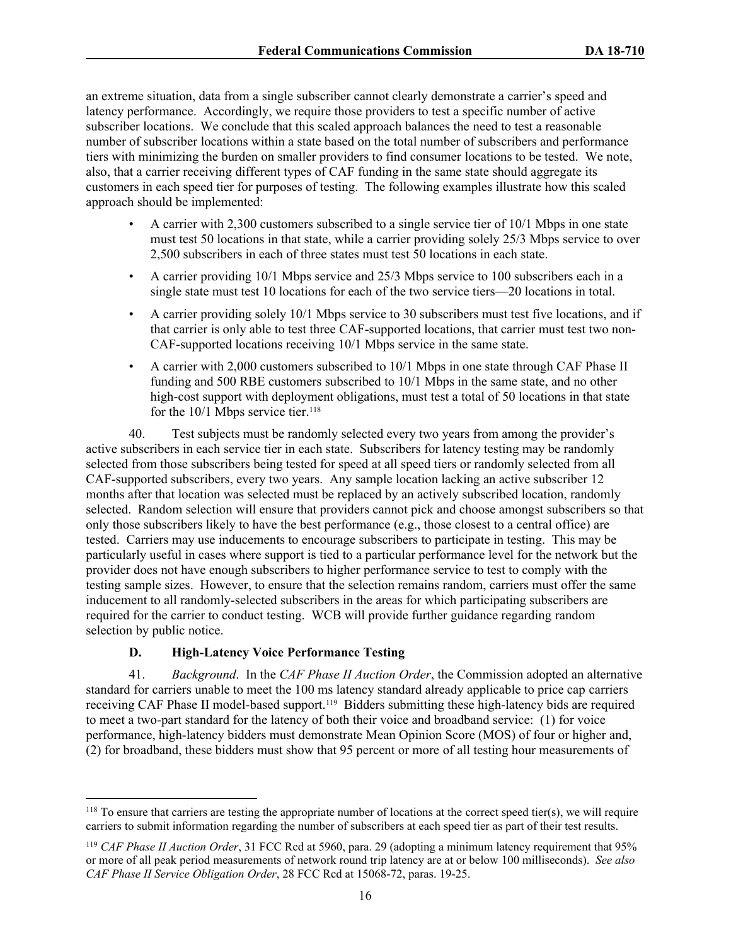an extreme situation, data from a single subscriber cannot clearly demonstrate a carrier's speed and latency performance. Accordingly, we require those providers to test a specific number of active subscriber locations. We conclude that this scaled approach balances the need to test a reasonable number of subscriber locations within a state based on the total number of subscribers and performance tiers with minimizing the burden on smaller providers to find consumer locations to be tested. We note, also, that a carrier receiving different types of CAF funding in the same state should aggregate its customers in each speed tier for purposes of testing. The following examples illustrate how this scaled approach should be implemented:

- A carrier with 2,300 customers subscribed to a single service tier of  $10/1$  Mbps in one state must test 50 locations in that state, while a carrier providing solely 25/3 Mbps service to over 2,500 subscribers in each of three states must test 50 locations in each state.
- A carrier providing 10/1 Mbps service and 25/3 Mbps service to 100 subscribers each in a single state must test 10 locations for each of the two service tiers—20 locations in total.
- A carrier providing solely 10/1 Mbps service to 30 subscribers must test five locations, and if that carrier is only able to test three CAF-supported locations, that carrier must test two non-CAF-supported locations receiving 10/1 Mbps service in the same state.
- A carrier with 2,000 customers subscribed to 10/1 Mbps in one state through CAF Phase II funding and 500 RBE customers subscribed to 10/1 Mbps in the same state, and no other high-cost support with deployment obligations, must test a total of 50 locations in that state for the  $10/1$  Mbps service tier.<sup>118</sup>

40. Test subjects must be randomly selected every two years from among the provider's active subscribers in each service tier in each state. Subscribers for latency testing may be randomly selected from those subscribers being tested for speed at all speed tiers or randomly selected from all CAF-supported subscribers, every two years. Any sample location lacking an active subscriber 12 months after that location was selected must be replaced by an actively subscribed location, randomly selected. Random selection will ensure that providers cannot pick and choose amongst subscribers so that only those subscribers likely to have the best performance (e.g., those closest to a central office) are tested. Carriers may use inducements to encourage subscribers to participate in testing. This may be particularly useful in cases where support is tied to a particular performance level for the network but the provider does not have enough subscribers to higher performance service to test to comply with the testing sample sizes. However, to ensure that the selection remains random, carriers must offer the same inducement to all randomly-selected subscribers in the areas for which participating subscribers are required for the carrier to conduct testing. WCB will provide further guidance regarding random selection by public notice.

# **D. High-Latency Voice Performance Testing**

41. *Background*. In the *CAF Phase II Auction Order*, the Commission adopted an alternative standard for carriers unable to meet the 100 ms latency standard already applicable to price cap carriers receiving CAF Phase II model-based support.<sup>119</sup> Bidders submitting these high-latency bids are required to meet a two-part standard for the latency of both their voice and broadband service: (1) for voice performance, high-latency bidders must demonstrate Mean Opinion Score (MOS) of four or higher and, (2) for broadband, these bidders must show that 95 percent or more of all testing hour measurements of

<sup>118</sup> To ensure that carriers are testing the appropriate number of locations at the correct speed tier(s), we will require carriers to submit information regarding the number of subscribers at each speed tier as part of their test results.

<sup>119</sup> *CAF Phase II Auction Order*, 31 FCC Rcd at 5960, para. 29 (adopting a minimum latency requirement that 95% or more of all peak period measurements of network round trip latency are at or below 100 milliseconds). *See also CAF Phase II Service Obligation Order*, 28 FCC Rcd at 15068-72, paras. 19-25.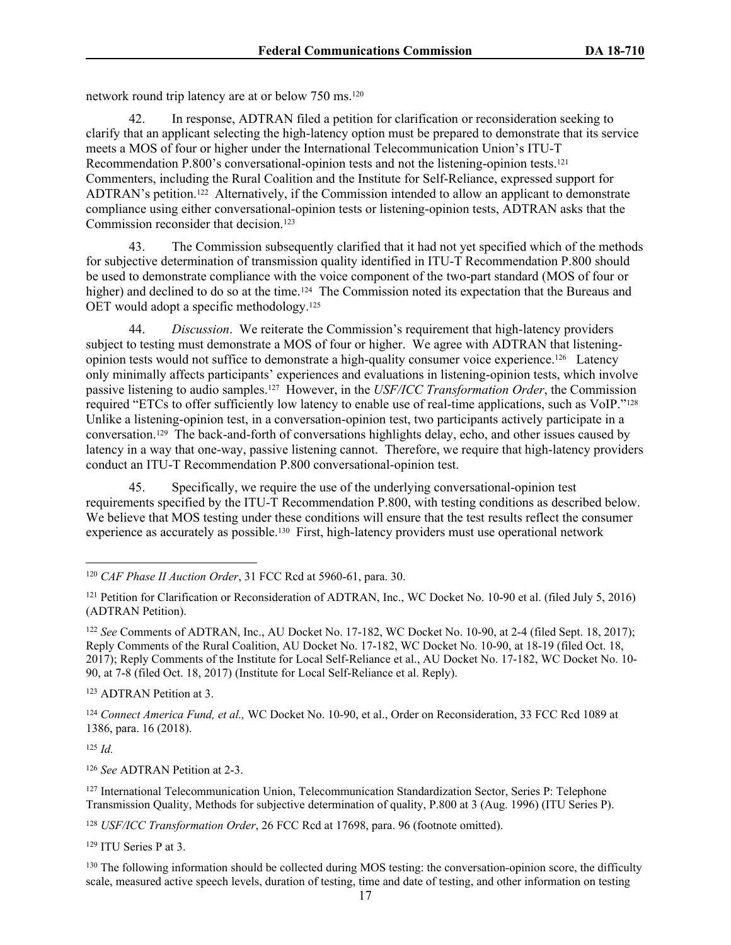network round trip latency are at or below 750 ms.<sup>120</sup>

42. In response, ADTRAN filed a petition for clarification or reconsideration seeking to clarify that an applicant selecting the high-latency option must be prepared to demonstrate that its service meets a MOS of four or higher under the International Telecommunication Union's ITU-T Recommendation P.800's conversational-opinion tests and not the listening-opinion tests.<sup>121</sup> Commenters, including the Rural Coalition and the Institute for Self-Reliance, expressed support for ADTRAN's petition.<sup>122</sup> Alternatively, if the Commission intended to allow an applicant to demonstrate compliance using either conversational-opinion tests or listening-opinion tests, ADTRAN asks that the Commission reconsider that decision.<sup>123</sup>

43. The Commission subsequently clarified that it had not yet specified which of the methods for subjective determination of transmission quality identified in ITU-T Recommendation P.800 should be used to demonstrate compliance with the voice component of the two-part standard (MOS of four or higher) and declined to do so at the time.<sup>124</sup> The Commission noted its expectation that the Bureaus and OET would adopt a specific methodology.<sup>125</sup>

44. *Discussion*. We reiterate the Commission's requirement that high-latency providers subject to testing must demonstrate a MOS of four or higher. We agree with ADTRAN that listeningopinion tests would not suffice to demonstrate a high-quality consumer voice experience.<sup>126</sup> Latency only minimally affects participants' experiences and evaluations in listening-opinion tests, which involve passive listening to audio samples.<sup>127</sup> However, in the *USF/ICC Transformation Order*, the Commission required "ETCs to offer sufficiently low latency to enable use of real-time applications, such as VoIP."<sup>128</sup> Unlike a listening-opinion test, in a conversation-opinion test, two participants actively participate in a conversation.<sup>129</sup> The back-and-forth of conversations highlights delay, echo, and other issues caused by latency in a way that one-way, passive listening cannot. Therefore, we require that high-latency providers conduct an ITU-T Recommendation P.800 conversational-opinion test.

45. Specifically, we require the use of the underlying conversational-opinion test requirements specified by the ITU-T Recommendation P.800, with testing conditions as described below. We believe that MOS testing under these conditions will ensure that the test results reflect the consumer experience as accurately as possible.<sup>130</sup> First, high-latency providers must use operational network

<sup>123</sup> ADTRAN Petition at 3.

<sup>124</sup> *Connect America Fund, et al.,* WC Docket No. 10-90, et al., Order on Reconsideration, 33 FCC Rcd 1089 at 1386, para. 16 (2018).

<sup>125</sup> *Id.*

<sup>126</sup> *See* ADTRAN Petition at 2-3.

<sup>127</sup> International Telecommunication Union, Telecommunication Standardization Sector, Series P: Telephone Transmission Quality, Methods for subjective determination of quality, P.800 at 3 (Aug. 1996) (ITU Series P).

<sup>128</sup> *USF/ICC Transformation Order*, 26 FCC Rcd at 17698, para. 96 (footnote omitted).

<sup>129</sup> ITU Series P at 3.

<sup>130</sup> The following information should be collected during MOS testing: the conversation-opinion score, the difficulty scale, measured active speech levels, duration of testing, time and date of testing, and other information on testing

<sup>120</sup> *CAF Phase II Auction Order*, 31 FCC Rcd at 5960-61, para. 30.

<sup>&</sup>lt;sup>121</sup> Petition for Clarification or Reconsideration of ADTRAN, Inc., WC Docket No. 10-90 et al. (filed July 5, 2016) (ADTRAN Petition).

<sup>122</sup> *See* Comments of ADTRAN, Inc., AU Docket No. 17-182, WC Docket No. 10-90, at 2-4 (filed Sept. 18, 2017); Reply Comments of the Rural Coalition, AU Docket No. 17-182, WC Docket No. 10-90, at 18-19 (filed Oct. 18, 2017); Reply Comments of the Institute for Local Self-Reliance et al., AU Docket No. 17-182, WC Docket No. 10- 90, at 7-8 (filed Oct. 18, 2017) (Institute for Local Self-Reliance et al. Reply).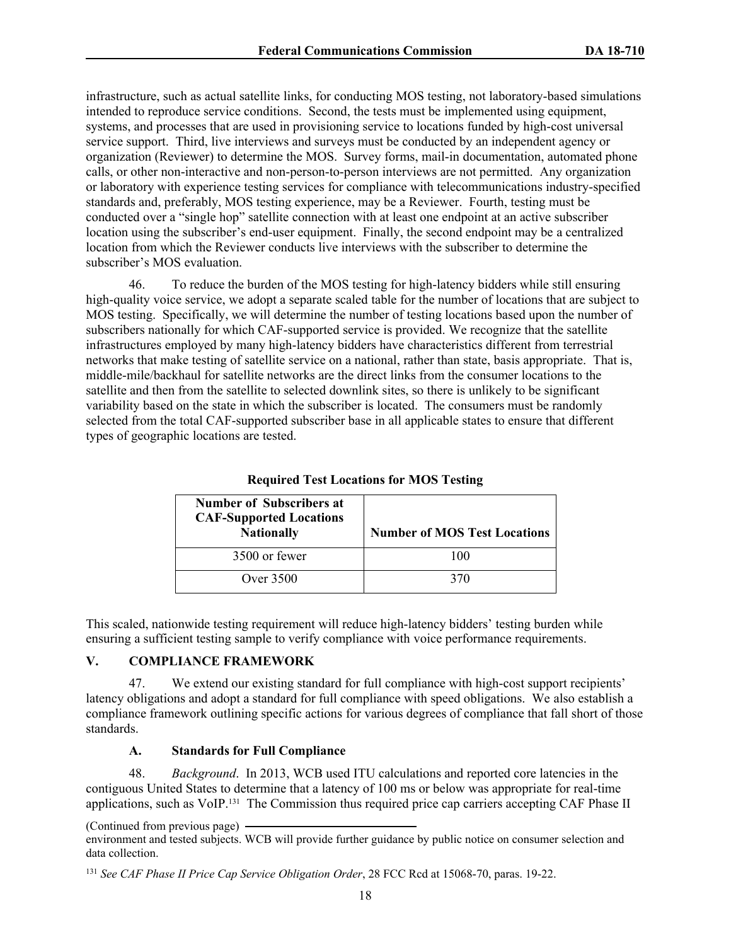infrastructure, such as actual satellite links, for conducting MOS testing, not laboratory-based simulations intended to reproduce service conditions. Second, the tests must be implemented using equipment, systems, and processes that are used in provisioning service to locations funded by high-cost universal service support. Third, live interviews and surveys must be conducted by an independent agency or organization (Reviewer) to determine the MOS. Survey forms, mail-in documentation, automated phone calls, or other non-interactive and non-person-to-person interviews are not permitted. Any organization or laboratory with experience testing services for compliance with telecommunications industry-specified standards and, preferably, MOS testing experience, may be a Reviewer. Fourth, testing must be conducted over a "single hop" satellite connection with at least one endpoint at an active subscriber location using the subscriber's end-user equipment. Finally, the second endpoint may be a centralized location from which the Reviewer conducts live interviews with the subscriber to determine the subscriber's MOS evaluation.

46. To reduce the burden of the MOS testing for high-latency bidders while still ensuring high-quality voice service, we adopt a separate scaled table for the number of locations that are subject to MOS testing. Specifically, we will determine the number of testing locations based upon the number of subscribers nationally for which CAF-supported service is provided. We recognize that the satellite infrastructures employed by many high-latency bidders have characteristics different from terrestrial networks that make testing of satellite service on a national, rather than state, basis appropriate. That is, middle-mile/backhaul for satellite networks are the direct links from the consumer locations to the satellite and then from the satellite to selected downlink sites, so there is unlikely to be significant variability based on the state in which the subscriber is located. The consumers must be randomly selected from the total CAF-supported subscriber base in all applicable states to ensure that different types of geographic locations are tested.

| <b>Number of Subscribers at</b><br><b>CAF-Supported Locations</b><br><b>Nationally</b> | <b>Number of MOS Test Locations</b> |
|----------------------------------------------------------------------------------------|-------------------------------------|
| 3500 or fewer                                                                          | 100                                 |
| Over $3500$                                                                            | 370                                 |

**Required Test Locations for MOS Testing**

This scaled, nationwide testing requirement will reduce high-latency bidders' testing burden while ensuring a sufficient testing sample to verify compliance with voice performance requirements.

#### **V. COMPLIANCE FRAMEWORK**

47. We extend our existing standard for full compliance with high-cost support recipients' latency obligations and adopt a standard for full compliance with speed obligations. We also establish a compliance framework outlining specific actions for various degrees of compliance that fall short of those standards.

### **A. Standards for Full Compliance**

48. *Background*. In 2013, WCB used ITU calculations and reported core latencies in the contiguous United States to determine that a latency of 100 ms or below was appropriate for real-time applications, such as VoIP.<sup>131</sup> The Commission thus required price cap carriers accepting CAF Phase II

<sup>(</sup>Continued from previous page)

environment and tested subjects. WCB will provide further guidance by public notice on consumer selection and data collection.

<sup>131</sup> *See CAF Phase II Price Cap Service Obligation Order*, 28 FCC Rcd at 15068-70, paras. 19-22.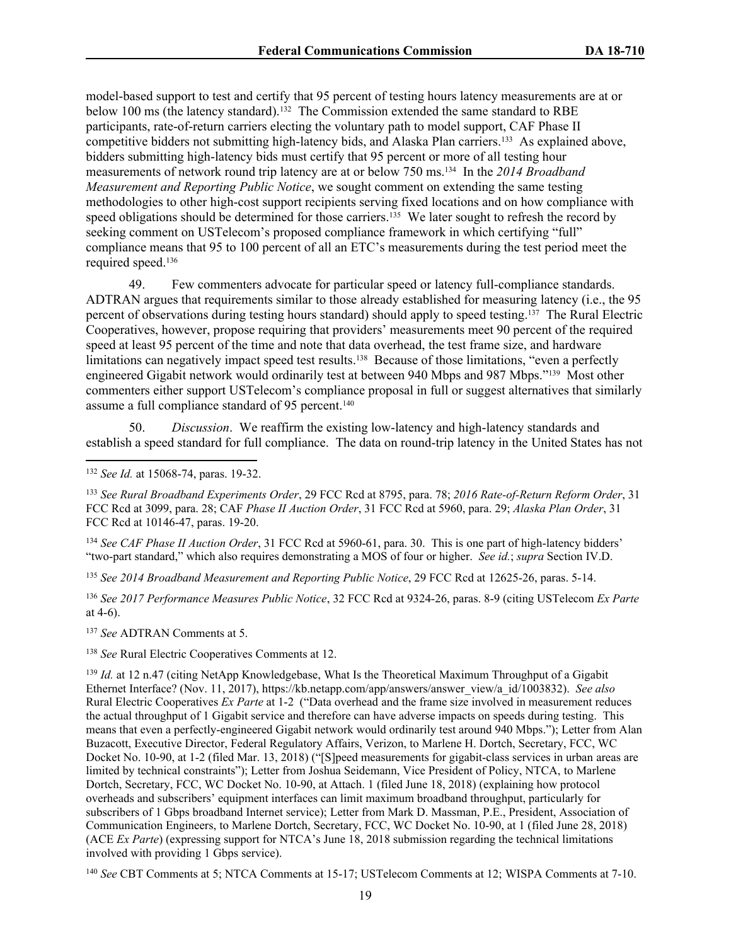model-based support to test and certify that 95 percent of testing hours latency measurements are at or below 100 ms (the latency standard).<sup>132</sup> The Commission extended the same standard to RBE participants, rate-of-return carriers electing the voluntary path to model support, CAF Phase II competitive bidders not submitting high-latency bids, and Alaska Plan carriers.<sup>133</sup> As explained above, bidders submitting high-latency bids must certify that 95 percent or more of all testing hour measurements of network round trip latency are at or below 750 ms.<sup>134</sup> In the *2014 Broadband Measurement and Reporting Public Notice*, we sought comment on extending the same testing methodologies to other high-cost support recipients serving fixed locations and on how compliance with speed obligations should be determined for those carriers.<sup>135</sup> We later sought to refresh the record by seeking comment on USTelecom's proposed compliance framework in which certifying "full" compliance means that 95 to 100 percent of all an ETC's measurements during the test period meet the required speed.<sup>136</sup>

49. Few commenters advocate for particular speed or latency full-compliance standards. ADTRAN argues that requirements similar to those already established for measuring latency (i.e., the 95 percent of observations during testing hours standard) should apply to speed testing.<sup>137</sup> The Rural Electric Cooperatives, however, propose requiring that providers' measurements meet 90 percent of the required speed at least 95 percent of the time and note that data overhead, the test frame size, and hardware limitations can negatively impact speed test results.<sup>138</sup> Because of those limitations, "even a perfectly engineered Gigabit network would ordinarily test at between 940 Mbps and 987 Mbps."<sup>139</sup> Most other commenters either support USTelecom's compliance proposal in full or suggest alternatives that similarly assume a full compliance standard of 95 percent.<sup>140</sup>

50. *Discussion*. We reaffirm the existing low-latency and high-latency standards and establish a speed standard for full compliance. The data on round-trip latency in the United States has not

<sup>134</sup> *See CAF Phase II Auction Order*, 31 FCC Rcd at 5960-61, para. 30. This is one part of high-latency bidders' "two-part standard," which also requires demonstrating a MOS of four or higher. *See id.*; *supra* Section IV.D.

<sup>135</sup> *See 2014 Broadband Measurement and Reporting Public Notice*, 29 FCC Rcd at 12625-26, paras. 5-14.

<sup>136</sup> *See 2017 Performance Measures Public Notice*, 32 FCC Rcd at 9324-26, paras. 8-9 (citing USTelecom *Ex Parte* at 4-6).

<sup>137</sup> *See* ADTRAN Comments at 5.

<sup>138</sup> *See* Rural Electric Cooperatives Comments at 12.

<sup>140</sup> *See* CBT Comments at 5; NTCA Comments at 15-17; USTelecom Comments at 12; WISPA Comments at 7-10.

<sup>132</sup> *See Id.* at 15068-74, paras. 19-32.

<sup>133</sup> *See Rural Broadband Experiments Order*, 29 FCC Rcd at 8795, para. 78; *2016 Rate-of-Return Reform Order*, 31 FCC Rcd at 3099, para. 28; CAF *Phase II Auction Order*, 31 FCC Rcd at 5960, para. 29; *Alaska Plan Order*, 31 FCC Rcd at 10146-47, paras. 19-20.

<sup>&</sup>lt;sup>139</sup> *Id.* at 12 n.47 (citing NetApp Knowledgebase, What Is the Theoretical Maximum Throughput of a Gigabit Ethernet Interface? (Nov. 11, 2017), https://kb.netapp.com/app/answers/answer\_view/a\_id/1003832). *See also* Rural Electric Cooperatives *Ex Parte* at 1-2 ("Data overhead and the frame size involved in measurement reduces the actual throughput of 1 Gigabit service and therefore can have adverse impacts on speeds during testing. This means that even a perfectly-engineered Gigabit network would ordinarily test around 940 Mbps."); Letter from Alan Buzacott, Executive Director, Federal Regulatory Affairs, Verizon, to Marlene H. Dortch, Secretary, FCC, WC Docket No. 10-90, at 1-2 (filed Mar. 13, 2018) ("[S]peed measurements for gigabit-class services in urban areas are limited by technical constraints"); Letter from Joshua Seidemann, Vice President of Policy, NTCA, to Marlene Dortch, Secretary, FCC, WC Docket No. 10-90, at Attach. 1 (filed June 18, 2018) (explaining how protocol overheads and subscribers' equipment interfaces can limit maximum broadband throughput, particularly for subscribers of 1 Gbps broadband Internet service); Letter from Mark D. Massman, P.E., President, Association of Communication Engineers, to Marlene Dortch, Secretary, FCC, WC Docket No. 10-90, at 1 (filed June 28, 2018) (ACE *Ex Parte*) (expressing support for NTCA's June 18, 2018 submission regarding the technical limitations involved with providing 1 Gbps service).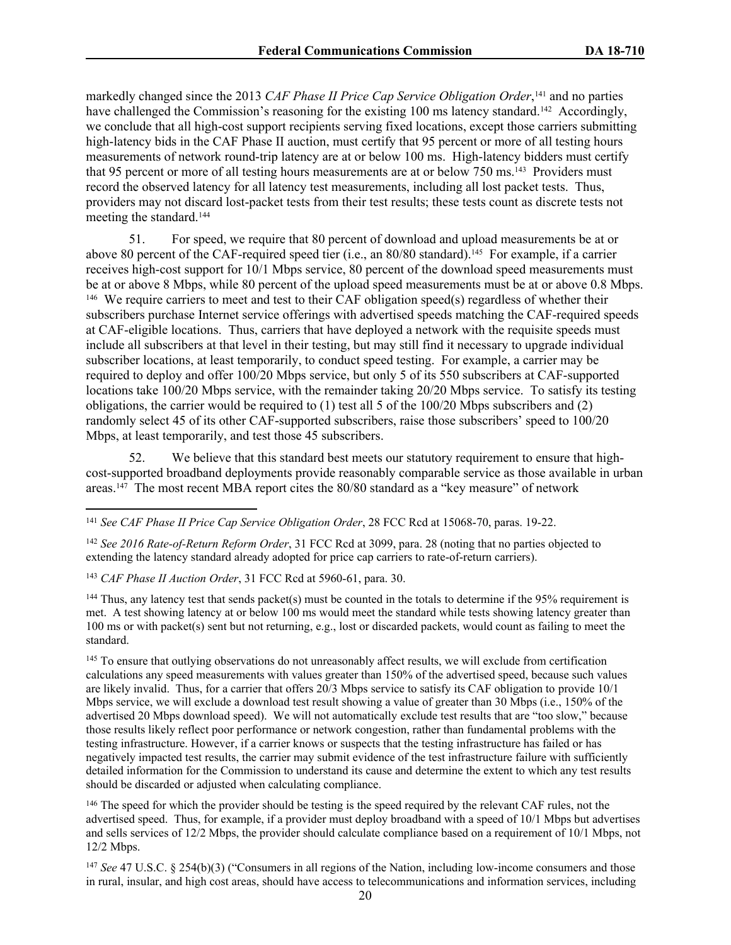markedly changed since the 2013 *CAF Phase II Price Cap Service Obligation Order*, <sup>141</sup> and no parties have challenged the Commission's reasoning for the existing 100 ms latency standard.<sup>142</sup> Accordingly, we conclude that all high-cost support recipients serving fixed locations, except those carriers submitting high-latency bids in the CAF Phase II auction, must certify that 95 percent or more of all testing hours measurements of network round-trip latency are at or below 100 ms. High-latency bidders must certify that 95 percent or more of all testing hours measurements are at or below 750 ms.<sup>143</sup> Providers must record the observed latency for all latency test measurements, including all lost packet tests. Thus, providers may not discard lost-packet tests from their test results; these tests count as discrete tests not meeting the standard.<sup>144</sup>

51. For speed, we require that 80 percent of download and upload measurements be at or above 80 percent of the CAF-required speed tier (i.e., an 80/80 standard).<sup>145</sup> For example, if a carrier receives high-cost support for 10/1 Mbps service, 80 percent of the download speed measurements must be at or above 8 Mbps, while 80 percent of the upload speed measurements must be at or above 0.8 Mbps. <sup>146</sup> We require carriers to meet and test to their CAF obligation speed(s) regardless of whether their subscribers purchase Internet service offerings with advertised speeds matching the CAF-required speeds at CAF-eligible locations. Thus, carriers that have deployed a network with the requisite speeds must include all subscribers at that level in their testing, but may still find it necessary to upgrade individual subscriber locations, at least temporarily, to conduct speed testing. For example, a carrier may be required to deploy and offer 100/20 Mbps service, but only 5 of its 550 subscribers at CAF-supported locations take 100/20 Mbps service, with the remainder taking 20/20 Mbps service. To satisfy its testing obligations, the carrier would be required to (1) test all 5 of the 100/20 Mbps subscribers and (2) randomly select 45 of its other CAF-supported subscribers, raise those subscribers' speed to 100/20 Mbps, at least temporarily, and test those 45 subscribers.

52. We believe that this standard best meets our statutory requirement to ensure that highcost-supported broadband deployments provide reasonably comparable service as those available in urban areas.<sup>147</sup> The most recent MBA report cites the 80/80 standard as a "key measure" of network

<sup>142</sup> *See 2016 Rate-of-Return Reform Order*, 31 FCC Rcd at 3099, para. 28 (noting that no parties objected to extending the latency standard already adopted for price cap carriers to rate-of-return carriers).

<sup>143</sup> *CAF Phase II Auction Order*, 31 FCC Rcd at 5960-61, para. 30.

<sup>144</sup> Thus, any latency test that sends packet(s) must be counted in the totals to determine if the 95% requirement is met. A test showing latency at or below 100 ms would meet the standard while tests showing latency greater than 100 ms or with packet(s) sent but not returning, e.g., lost or discarded packets, would count as failing to meet the standard.

<sup>145</sup> To ensure that outlying observations do not unreasonably affect results, we will exclude from certification calculations any speed measurements with values greater than 150% of the advertised speed, because such values are likely invalid. Thus, for a carrier that offers 20/3 Mbps service to satisfy its CAF obligation to provide 10/1 Mbps service, we will exclude a download test result showing a value of greater than 30 Mbps (i.e., 150% of the advertised 20 Mbps download speed). We will not automatically exclude test results that are "too slow," because those results likely reflect poor performance or network congestion, rather than fundamental problems with the testing infrastructure. However, if a carrier knows or suspects that the testing infrastructure has failed or has negatively impacted test results, the carrier may submit evidence of the test infrastructure failure with sufficiently detailed information for the Commission to understand its cause and determine the extent to which any test results should be discarded or adjusted when calculating compliance.

<sup>146</sup> The speed for which the provider should be testing is the speed required by the relevant CAF rules, not the advertised speed. Thus, for example, if a provider must deploy broadband with a speed of 10/1 Mbps but advertises and sells services of 12/2 Mbps, the provider should calculate compliance based on a requirement of 10/1 Mbps, not 12/2 Mbps.

<sup>147</sup> *See* 47 U.S.C. § 254(b)(3) ("Consumers in all regions of the Nation, including low-income consumers and those in rural, insular, and high cost areas, should have access to telecommunications and information services, including

<sup>141</sup> *See CAF Phase II Price Cap Service Obligation Order*, 28 FCC Rcd at 15068-70, paras. 19-22.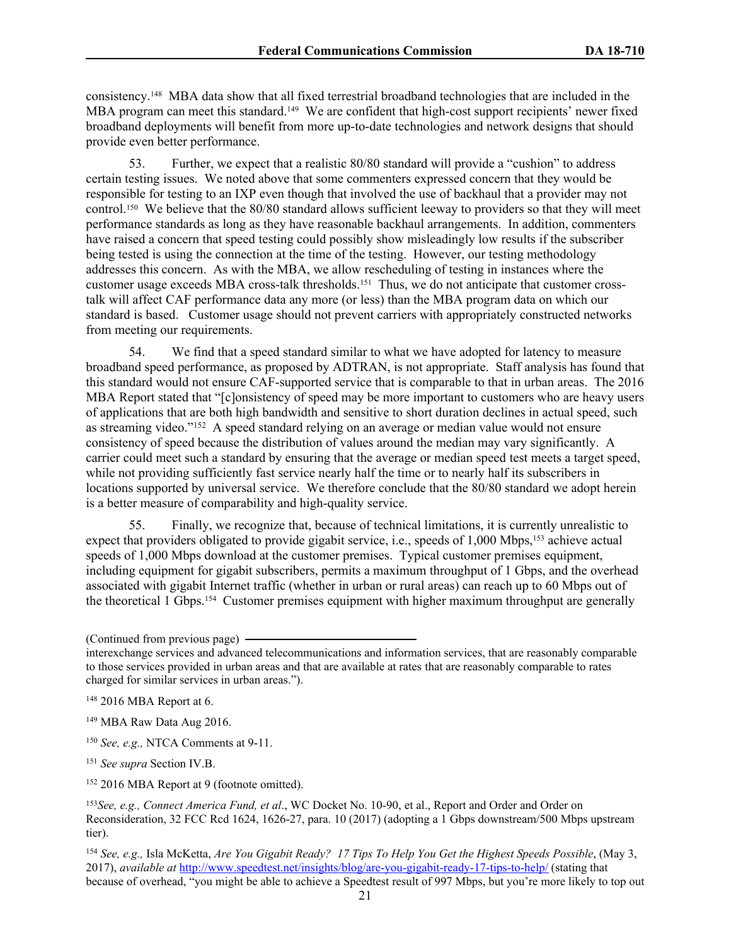consistency.<sup>148</sup> MBA data show that all fixed terrestrial broadband technologies that are included in the MBA program can meet this standard.<sup>149</sup> We are confident that high-cost support recipients' newer fixed broadband deployments will benefit from more up-to-date technologies and network designs that should provide even better performance.

53. Further, we expect that a realistic 80/80 standard will provide a "cushion" to address certain testing issues. We noted above that some commenters expressed concern that they would be responsible for testing to an IXP even though that involved the use of backhaul that a provider may not control.<sup>150</sup> We believe that the 80/80 standard allows sufficient leeway to providers so that they will meet performance standards as long as they have reasonable backhaul arrangements. In addition, commenters have raised a concern that speed testing could possibly show misleadingly low results if the subscriber being tested is using the connection at the time of the testing. However, our testing methodology addresses this concern. As with the MBA, we allow rescheduling of testing in instances where the customer usage exceeds MBA cross-talk thresholds.<sup>151</sup> Thus, we do not anticipate that customer crosstalk will affect CAF performance data any more (or less) than the MBA program data on which our standard is based. Customer usage should not prevent carriers with appropriately constructed networks from meeting our requirements.

54. We find that a speed standard similar to what we have adopted for latency to measure broadband speed performance, as proposed by ADTRAN, is not appropriate. Staff analysis has found that this standard would not ensure CAF-supported service that is comparable to that in urban areas. The 2016 MBA Report stated that "[c]onsistency of speed may be more important to customers who are heavy users of applications that are both high bandwidth and sensitive to short duration declines in actual speed, such as streaming video."<sup>152</sup> A speed standard relying on an average or median value would not ensure consistency of speed because the distribution of values around the median may vary significantly. A carrier could meet such a standard by ensuring that the average or median speed test meets a target speed, while not providing sufficiently fast service nearly half the time or to nearly half its subscribers in locations supported by universal service. We therefore conclude that the 80/80 standard we adopt herein is a better measure of comparability and high-quality service.

55. Finally, we recognize that, because of technical limitations, it is currently unrealistic to expect that providers obligated to provide gigabit service, i.e., speeds of 1,000 Mbps,<sup>153</sup> achieve actual speeds of 1,000 Mbps download at the customer premises. Typical customer premises equipment, including equipment for gigabit subscribers, permits a maximum throughput of 1 Gbps, and the overhead associated with gigabit Internet traffic (whether in urban or rural areas) can reach up to 60 Mbps out of the theoretical 1 Gbps.<sup>154</sup> Customer premises equipment with higher maximum throughput are generally

<sup>150</sup> *See, e.g.,* NTCA Comments at 9-11.

<sup>151</sup> *See supra* Section IV.B.

<sup>152</sup> 2016 MBA Report at 9 (footnote omitted).

<sup>(</sup>Continued from previous page)

interexchange services and advanced telecommunications and information services, that are reasonably comparable to those services provided in urban areas and that are available at rates that are reasonably comparable to rates charged for similar services in urban areas.").

<sup>148</sup> 2016 MBA Report at 6.

<sup>149</sup> MBA Raw Data Aug 2016.

<sup>153</sup>*See, e.g., Connect America Fund, et al*., WC Docket No. 10-90, et al., Report and Order and Order on Reconsideration, 32 FCC Rcd 1624, 1626-27, para. 10 (2017) (adopting a 1 Gbps downstream/500 Mbps upstream tier).

<sup>154</sup> *See, e.g.,* Isla McKetta, *Are You Gigabit Ready? 17 Tips To Help You Get the Highest Speeds Possible*, (May 3, 2017), *available at* <http://www.speedtest.net/insights/blog/are-you-gigabit-ready-17-tips-to-help/> (stating that because of overhead, "you might be able to achieve a Speedtest result of 997 Mbps, but you're more likely to top out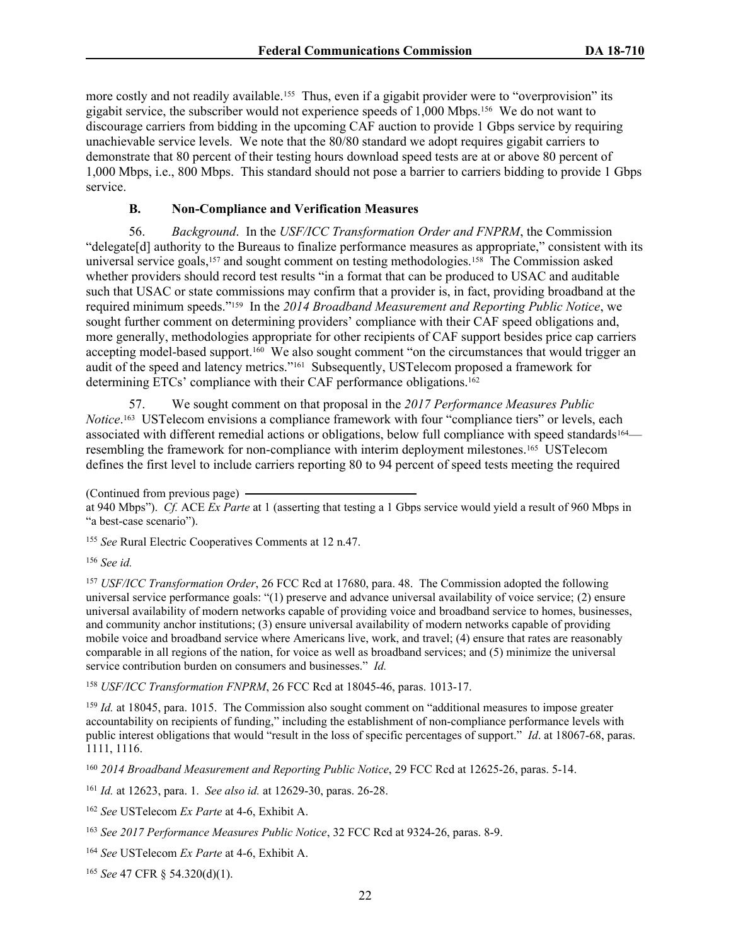more costly and not readily available.<sup>155</sup> Thus, even if a gigabit provider were to "overprovision" its gigabit service, the subscriber would not experience speeds of 1,000 Mbps.<sup>156</sup> We do not want to discourage carriers from bidding in the upcoming CAF auction to provide 1 Gbps service by requiring unachievable service levels. We note that the 80/80 standard we adopt requires gigabit carriers to demonstrate that 80 percent of their testing hours download speed tests are at or above 80 percent of 1,000 Mbps, i.e., 800 Mbps. This standard should not pose a barrier to carriers bidding to provide 1 Gbps service.

### **B. Non-Compliance and Verification Measures**

56. *Background*.In the *USF/ICC Transformation Order and FNPRM*, the Commission "delegate[d] authority to the Bureaus to finalize performance measures as appropriate," consistent with its universal service goals,<sup>157</sup> and sought comment on testing methodologies.<sup>158</sup> The Commission asked whether providers should record test results "in a format that can be produced to USAC and auditable such that USAC or state commissions may confirm that a provider is, in fact, providing broadband at the required minimum speeds."<sup>159</sup> In the *2014 Broadband Measurement and Reporting Public Notice*, we sought further comment on determining providers' compliance with their CAF speed obligations and, more generally, methodologies appropriate for other recipients of CAF support besides price cap carriers accepting model-based support.<sup>160</sup> We also sought comment "on the circumstances that would trigger an audit of the speed and latency metrics."<sup>161</sup> Subsequently, USTelecom proposed a framework for determining ETCs' compliance with their CAF performance obligations.<sup>162</sup>

57. We sought comment on that proposal in the *2017 Performance Measures Public* Notice.<sup>163</sup> USTelecom envisions a compliance framework with four "compliance tiers" or levels, each associated with different remedial actions or obligations, below full compliance with speed standards<sup>164</sup> resembling the framework for non-compliance with interim deployment milestones.<sup>165</sup> USTelecom defines the first level to include carriers reporting 80 to 94 percent of speed tests meeting the required

<sup>155</sup> *See* Rural Electric Cooperatives Comments at 12 n.47.

<sup>156</sup> *See id.*

<sup>157</sup> *USF/ICC Transformation Order*, 26 FCC Rcd at 17680, para. 48. The Commission adopted the following universal service performance goals: "(1) preserve and advance universal availability of voice service; (2) ensure universal availability of modern networks capable of providing voice and broadband service to homes, businesses, and community anchor institutions; (3) ensure universal availability of modern networks capable of providing mobile voice and broadband service where Americans live, work, and travel; (4) ensure that rates are reasonably comparable in all regions of the nation, for voice as well as broadband services; and (5) minimize the universal service contribution burden on consumers and businesses." *Id.*

<sup>158</sup> *USF/ICC Transformation FNPRM*, 26 FCC Rcd at 18045-46, paras. 1013-17.

<sup>159</sup> *Id.* at 18045, para. 1015. The Commission also sought comment on "additional measures to impose greater accountability on recipients of funding," including the establishment of non-compliance performance levels with public interest obligations that would "result in the loss of specific percentages of support." *Id*. at 18067-68, paras. 1111, 1116.

<sup>160</sup> *2014 Broadband Measurement and Reporting Public Notice*, 29 FCC Rcd at 12625-26, paras. 5-14.

<sup>161</sup> *Id.* at 12623, para. 1. *See also id.* at 12629-30, paras. 26-28.

<sup>162</sup> *See* USTelecom *Ex Parte* at 4-6, Exhibit A.

<sup>164</sup> *See* USTelecom *Ex Parte* at 4-6, Exhibit A.

<sup>165</sup> *See* 47 CFR § 54.320(d)(1).

<sup>(</sup>Continued from previous page)

at 940 Mbps"). *Cf.* ACE *Ex Parte* at 1 (asserting that testing a 1 Gbps service would yield a result of 960 Mbps in "a best-case scenario").

<sup>163</sup> *See 2017 Performance Measures Public Notice*, 32 FCC Rcd at 9324-26, paras. 8-9.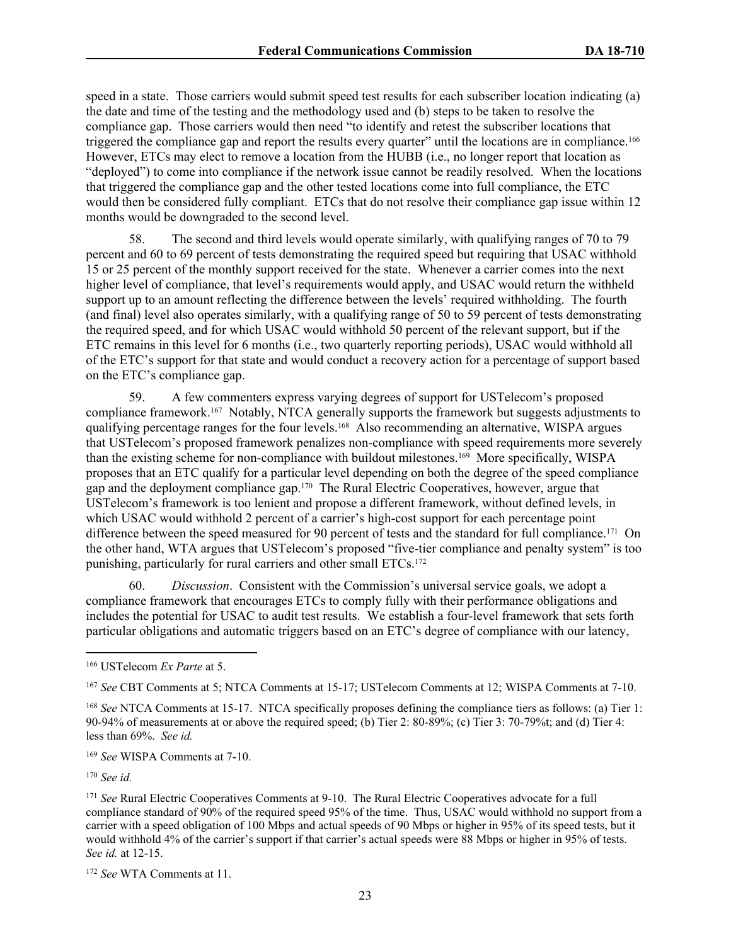speed in a state. Those carriers would submit speed test results for each subscriber location indicating (a) the date and time of the testing and the methodology used and (b) steps to be taken to resolve the compliance gap. Those carriers would then need "to identify and retest the subscriber locations that triggered the compliance gap and report the results every quarter" until the locations are in compliance.<sup>166</sup> However, ETCs may elect to remove a location from the HUBB (i.e., no longer report that location as "deployed") to come into compliance if the network issue cannot be readily resolved. When the locations that triggered the compliance gap and the other tested locations come into full compliance, the ETC would then be considered fully compliant. ETCs that do not resolve their compliance gap issue within 12 months would be downgraded to the second level.

58. The second and third levels would operate similarly, with qualifying ranges of 70 to 79 percent and 60 to 69 percent of tests demonstrating the required speed but requiring that USAC withhold 15 or 25 percent of the monthly support received for the state. Whenever a carrier comes into the next higher level of compliance, that level's requirements would apply, and USAC would return the withheld support up to an amount reflecting the difference between the levels' required withholding. The fourth (and final) level also operates similarly, with a qualifying range of 50 to 59 percent of tests demonstrating the required speed, and for which USAC would withhold 50 percent of the relevant support, but if the ETC remains in this level for 6 months (i.e., two quarterly reporting periods), USAC would withhold all of the ETC's support for that state and would conduct a recovery action for a percentage of support based on the ETC's compliance gap.

59. A few commenters express varying degrees of support for USTelecom's proposed compliance framework.<sup>167</sup> Notably, NTCA generally supports the framework but suggests adjustments to qualifying percentage ranges for the four levels.<sup>168</sup> Also recommending an alternative, WISPA argues that USTelecom's proposed framework penalizes non-compliance with speed requirements more severely than the existing scheme for non-compliance with buildout milestones.<sup>169</sup> More specifically, WISPA proposes that an ETC qualify for a particular level depending on both the degree of the speed compliance gap and the deployment compliance gap.<sup>170</sup> The Rural Electric Cooperatives, however, argue that USTelecom's framework is too lenient and propose a different framework, without defined levels, in which USAC would withhold 2 percent of a carrier's high-cost support for each percentage point difference between the speed measured for 90 percent of tests and the standard for full compliance.<sup>171</sup> On the other hand, WTA argues that USTelecom's proposed "five-tier compliance and penalty system" is too punishing, particularly for rural carriers and other small ETCs.<sup>172</sup>

60. *Discussion*. Consistent with the Commission's universal service goals, we adopt a compliance framework that encourages ETCs to comply fully with their performance obligations and includes the potential for USAC to audit test results. We establish a four-level framework that sets forth particular obligations and automatic triggers based on an ETC's degree of compliance with our latency,

<sup>169</sup> *See* WISPA Comments at 7-10.

<sup>170</sup> *See id.*

<sup>166</sup> USTelecom *Ex Parte* at 5.

<sup>167</sup> *See* CBT Comments at 5; NTCA Comments at 15-17; USTelecom Comments at 12; WISPA Comments at 7-10.

<sup>168</sup> *See* NTCA Comments at 15-17. NTCA specifically proposes defining the compliance tiers as follows: (a) Tier 1: 90-94% of measurements at or above the required speed; (b) Tier 2: 80-89%; (c) Tier 3: 70-79%t; and (d) Tier 4: less than 69%. *See id.*

<sup>171</sup> *See* Rural Electric Cooperatives Comments at 9-10. The Rural Electric Cooperatives advocate for a full compliance standard of 90% of the required speed 95% of the time. Thus, USAC would withhold no support from a carrier with a speed obligation of 100 Mbps and actual speeds of 90 Mbps or higher in 95% of its speed tests, but it would withhold 4% of the carrier's support if that carrier's actual speeds were 88 Mbps or higher in 95% of tests. *See id.* at 12-15.

<sup>172</sup> *See* WTA Comments at 11.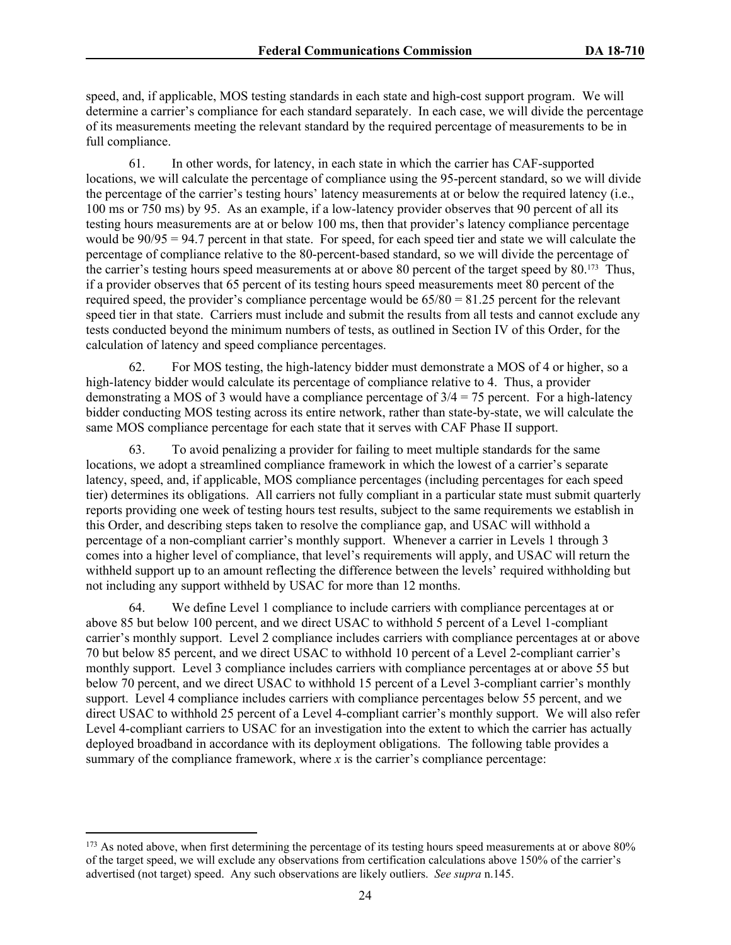speed, and, if applicable, MOS testing standards in each state and high-cost support program. We will determine a carrier's compliance for each standard separately. In each case, we will divide the percentage of its measurements meeting the relevant standard by the required percentage of measurements to be in full compliance.

61. In other words, for latency, in each state in which the carrier has CAF-supported locations, we will calculate the percentage of compliance using the 95-percent standard, so we will divide the percentage of the carrier's testing hours' latency measurements at or below the required latency (i.e., 100 ms or 750 ms) by 95. As an example, if a low-latency provider observes that 90 percent of all its testing hours measurements are at or below 100 ms, then that provider's latency compliance percentage would be 90/95 = 94.7 percent in that state. For speed, for each speed tier and state we will calculate the percentage of compliance relative to the 80-percent-based standard, so we will divide the percentage of the carrier's testing hours speed measurements at or above 80 percent of the target speed by 80.<sup>173</sup> Thus, if a provider observes that 65 percent of its testing hours speed measurements meet 80 percent of the required speed, the provider's compliance percentage would be 65/80 = 81.25 percent for the relevant speed tier in that state. Carriers must include and submit the results from all tests and cannot exclude any tests conducted beyond the minimum numbers of tests, as outlined in Section IV of this Order, for the calculation of latency and speed compliance percentages.

62. For MOS testing, the high-latency bidder must demonstrate a MOS of 4 or higher, so a high-latency bidder would calculate its percentage of compliance relative to 4. Thus, a provider demonstrating a MOS of 3 would have a compliance percentage of  $3/4 = 75$  percent. For a high-latency bidder conducting MOS testing across its entire network, rather than state-by-state, we will calculate the same MOS compliance percentage for each state that it serves with CAF Phase II support.

63. To avoid penalizing a provider for failing to meet multiple standards for the same locations, we adopt a streamlined compliance framework in which the lowest of a carrier's separate latency, speed, and, if applicable, MOS compliance percentages (including percentages for each speed tier) determines its obligations. All carriers not fully compliant in a particular state must submit quarterly reports providing one week of testing hours test results, subject to the same requirements we establish in this Order, and describing steps taken to resolve the compliance gap, and USAC will withhold a percentage of a non-compliant carrier's monthly support. Whenever a carrier in Levels 1 through 3 comes into a higher level of compliance, that level's requirements will apply, and USAC will return the withheld support up to an amount reflecting the difference between the levels' required withholding but not including any support withheld by USAC for more than 12 months.

64. We define Level 1 compliance to include carriers with compliance percentages at or above 85 but below 100 percent, and we direct USAC to withhold 5 percent of a Level 1-compliant carrier's monthly support. Level 2 compliance includes carriers with compliance percentages at or above 70 but below 85 percent, and we direct USAC to withhold 10 percent of a Level 2-compliant carrier's monthly support. Level 3 compliance includes carriers with compliance percentages at or above 55 but below 70 percent, and we direct USAC to withhold 15 percent of a Level 3-compliant carrier's monthly support. Level 4 compliance includes carriers with compliance percentages below 55 percent, and we direct USAC to withhold 25 percent of a Level 4-compliant carrier's monthly support. We will also refer Level 4-compliant carriers to USAC for an investigation into the extent to which the carrier has actually deployed broadband in accordance with its deployment obligations. The following table provides a summary of the compliance framework, where *x* is the carrier's compliance percentage:

<sup>&</sup>lt;sup>173</sup> As noted above, when first determining the percentage of its testing hours speed measurements at or above 80% of the target speed, we will exclude any observations from certification calculations above 150% of the carrier's advertised (not target) speed. Any such observations are likely outliers. *See supra* n.145.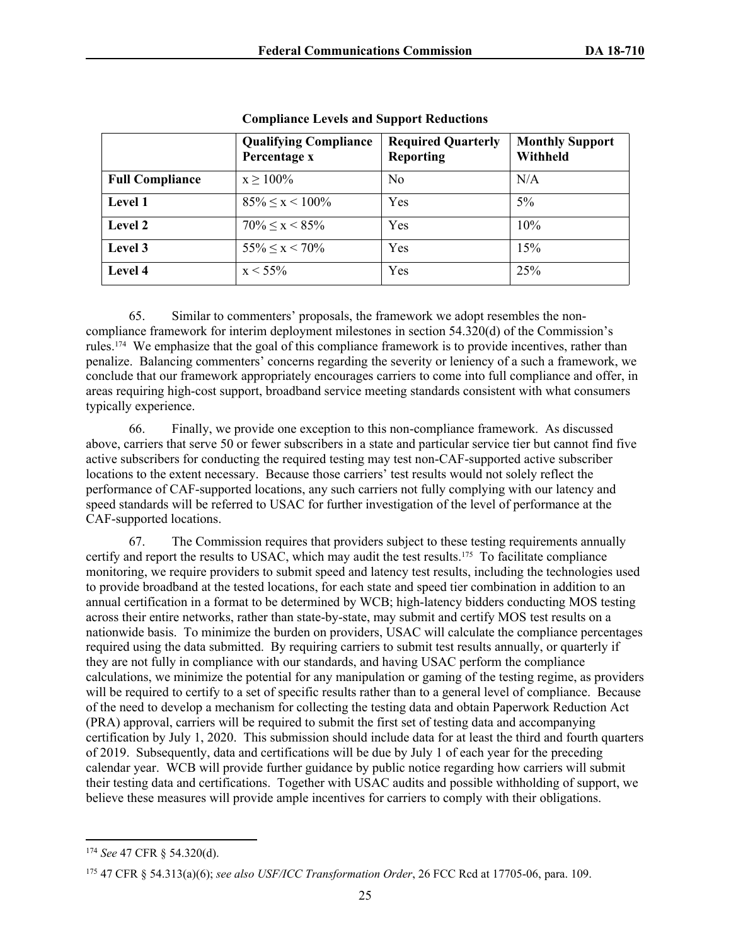|                        | <b>Qualifying Compliance</b><br>Percentage x | <b>Required Quarterly</b><br><b>Reporting</b> | <b>Monthly Support</b><br>Withheld |
|------------------------|----------------------------------------------|-----------------------------------------------|------------------------------------|
| <b>Full Compliance</b> | $x \ge 100\%$                                | N <sub>0</sub>                                | N/A                                |
| Level 1                | $85\% \leq x \leq 100\%$                     | Yes                                           | $5\%$                              |
| <b>Level 2</b>         | $70\% \leq x \leq 85\%$                      | Yes                                           | 10%                                |
| Level 3                | $55\% \leq x \leq 70\%$                      | Yes                                           | 15%                                |
| <b>Level 4</b>         | $x < 55\%$                                   | Yes                                           | 25%                                |

**Compliance Levels and Support Reductions**

65. Similar to commenters' proposals, the framework we adopt resembles the noncompliance framework for interim deployment milestones in section 54.320(d) of the Commission's rules.<sup>174</sup> We emphasize that the goal of this compliance framework is to provide incentives, rather than penalize. Balancing commenters' concerns regarding the severity or leniency of a such a framework, we conclude that our framework appropriately encourages carriers to come into full compliance and offer, in areas requiring high-cost support, broadband service meeting standards consistent with what consumers typically experience.

66. Finally, we provide one exception to this non-compliance framework. As discussed above, carriers that serve 50 or fewer subscribers in a state and particular service tier but cannot find five active subscribers for conducting the required testing may test non-CAF-supported active subscriber locations to the extent necessary. Because those carriers' test results would not solely reflect the performance of CAF-supported locations, any such carriers not fully complying with our latency and speed standards will be referred to USAC for further investigation of the level of performance at the CAF-supported locations.

67. The Commission requires that providers subject to these testing requirements annually certify and report the results to USAC, which may audit the test results.<sup>175</sup> To facilitate compliance monitoring, we require providers to submit speed and latency test results, including the technologies used to provide broadband at the tested locations, for each state and speed tier combination in addition to an annual certification in a format to be determined by WCB; high-latency bidders conducting MOS testing across their entire networks, rather than state-by-state, may submit and certify MOS test results on a nationwide basis. To minimize the burden on providers, USAC will calculate the compliance percentages required using the data submitted. By requiring carriers to submit test results annually, or quarterly if they are not fully in compliance with our standards, and having USAC perform the compliance calculations, we minimize the potential for any manipulation or gaming of the testing regime, as providers will be required to certify to a set of specific results rather than to a general level of compliance. Because of the need to develop a mechanism for collecting the testing data and obtain Paperwork Reduction Act (PRA) approval, carriers will be required to submit the first set of testing data and accompanying certification by July 1, 2020. This submission should include data for at least the third and fourth quarters of 2019. Subsequently, data and certifications will be due by July 1 of each year for the preceding calendar year. WCB will provide further guidance by public notice regarding how carriers will submit their testing data and certifications. Together with USAC audits and possible withholding of support, we believe these measures will provide ample incentives for carriers to comply with their obligations.

<sup>174</sup> *See* 47 CFR § 54.320(d).

<sup>175</sup> 47 CFR § 54.313(a)(6); *see also USF/ICC Transformation Order*, 26 FCC Rcd at 17705-06, para. 109.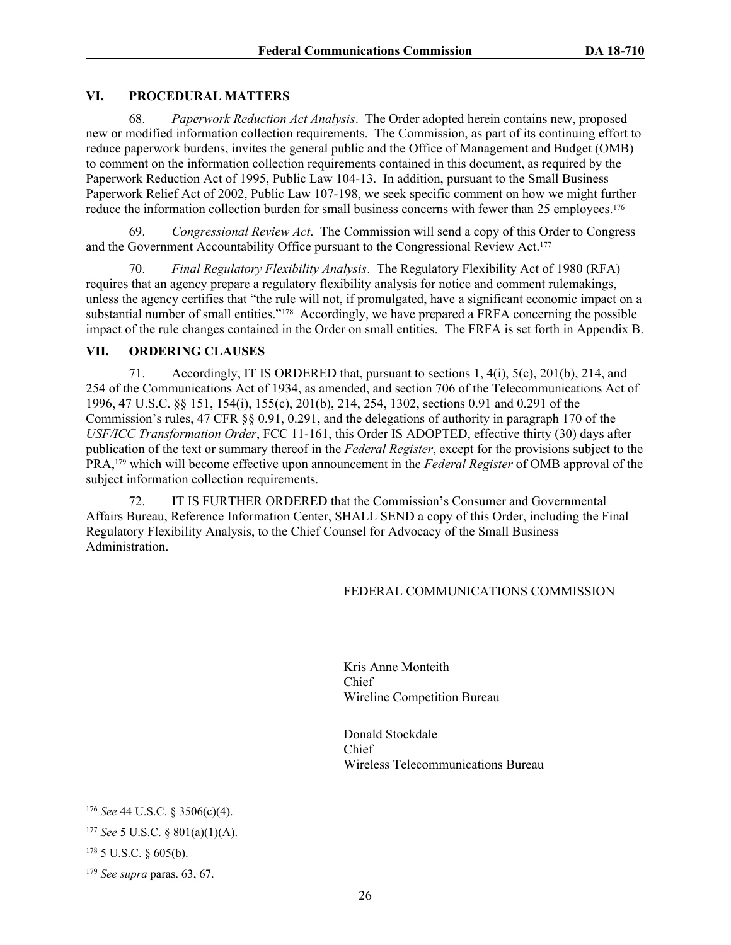### **VI. PROCEDURAL MATTERS**

68. *Paperwork Reduction Act Analysis*. The Order adopted herein contains new, proposed new or modified information collection requirements. The Commission, as part of its continuing effort to reduce paperwork burdens, invites the general public and the Office of Management and Budget (OMB) to comment on the information collection requirements contained in this document, as required by the Paperwork Reduction Act of 1995, Public Law 104-13. In addition, pursuant to the Small Business Paperwork Relief Act of 2002, Public Law 107-198, we seek specific comment on how we might further reduce the information collection burden for small business concerns with fewer than 25 employees.<sup>176</sup>

69. *Congressional Review Act*. The Commission will send a copy of this Order to Congress and the Government Accountability Office pursuant to the Congressional Review Act.<sup>177</sup>

70. *Final Regulatory Flexibility Analysis*. The Regulatory Flexibility Act of 1980 (RFA) requires that an agency prepare a regulatory flexibility analysis for notice and comment rulemakings, unless the agency certifies that "the rule will not, if promulgated, have a significant economic impact on a substantial number of small entities."<sup>178</sup> Accordingly, we have prepared a FRFA concerning the possible impact of the rule changes contained in the Order on small entities. The FRFA is set forth in Appendix B.

### **VII. ORDERING CLAUSES**

71. Accordingly, IT IS ORDERED that, pursuant to sections 1, 4(i), 5(c), 201(b), 214, and 254 of the Communications Act of 1934, as amended, and section 706 of the Telecommunications Act of 1996, 47 U.S.C. §§ 151, 154(i), 155(c), 201(b), 214, 254, 1302, sections 0.91 and 0.291 of the Commission's rules, 47 CFR §§ 0.91, 0.291, and the delegations of authority in paragraph 170 of the *USF/ICC Transformation Order*, FCC 11-161, this Order IS ADOPTED, effective thirty (30) days after publication of the text or summary thereof in the *Federal Register*, except for the provisions subject to the PRA,<sup>179</sup> which will become effective upon announcement in the *Federal Register* of OMB approval of the subject information collection requirements.

72. IT IS FURTHER ORDERED that the Commission's Consumer and Governmental Affairs Bureau, Reference Information Center, SHALL SEND a copy of this Order, including the Final Regulatory Flexibility Analysis, to the Chief Counsel for Advocacy of the Small Business Administration.

### FEDERAL COMMUNICATIONS COMMISSION

Kris Anne Monteith Chief Wireline Competition Bureau

Donald Stockdale Chief Wireless Telecommunications Bureau

<sup>176</sup> *See* 44 U.S.C. § 3506(c)(4).

<sup>177</sup> *See* 5 U.S.C. § 801(a)(1)(A).

<sup>178</sup> 5 U.S.C. § 605(b).

<sup>179</sup> *See supra* paras. 63, 67.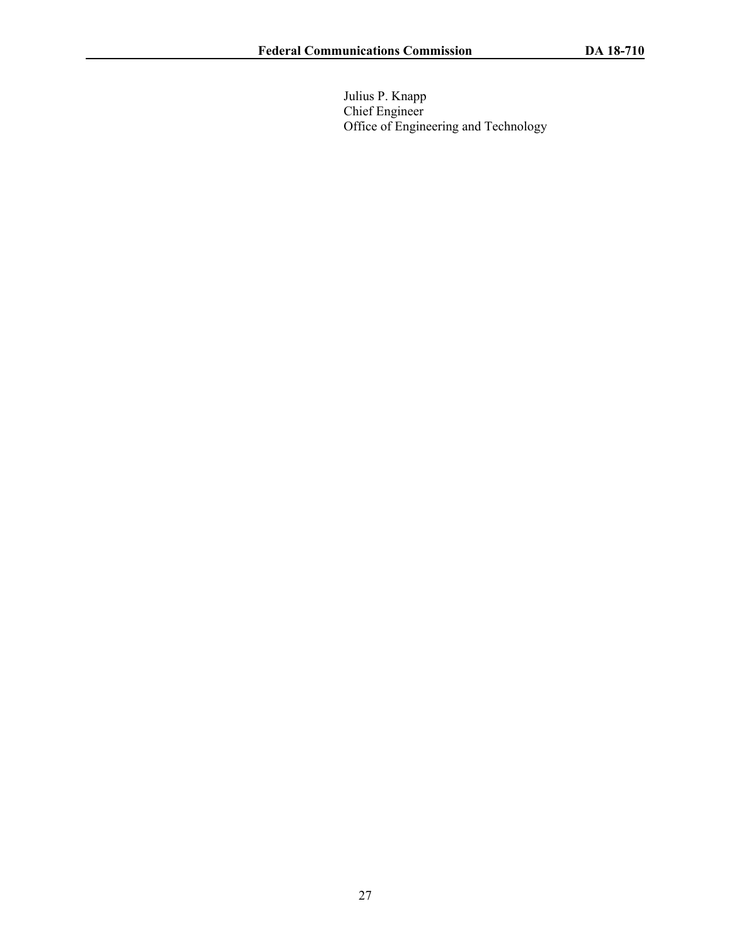Julius P. Knapp Chief Engineer Office of Engineering and Technology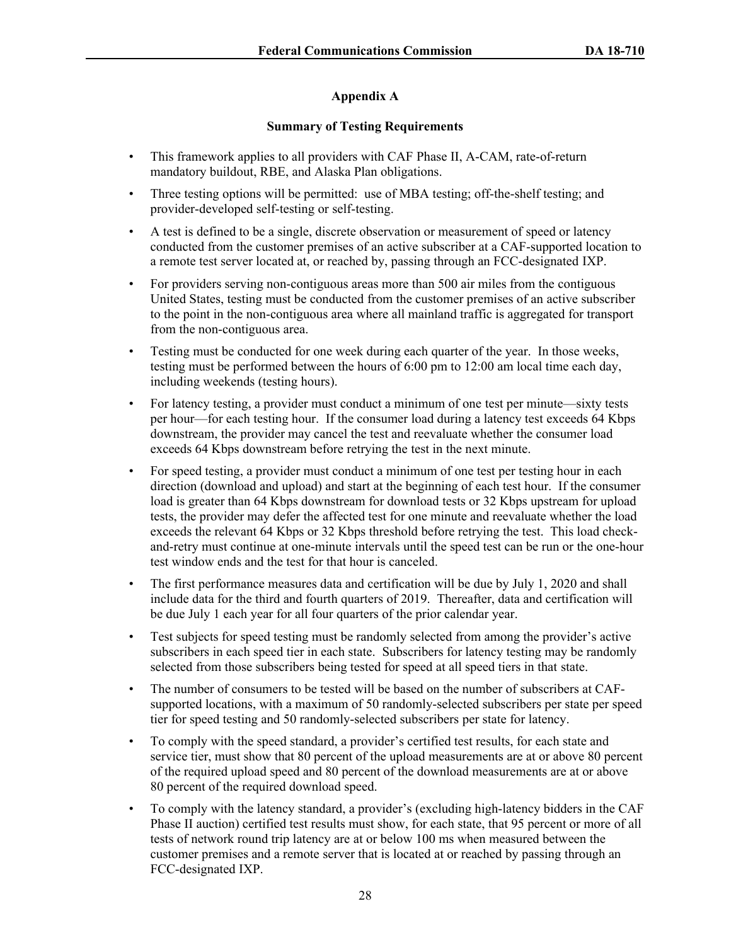# **Appendix A**

### **Summary of Testing Requirements**

- This framework applies to all providers with CAF Phase II, A-CAM, rate-of-return mandatory buildout, RBE, and Alaska Plan obligations.
- Three testing options will be permitted: use of MBA testing; off-the-shelf testing; and provider-developed self-testing or self-testing.
- A test is defined to be a single, discrete observation or measurement of speed or latency conducted from the customer premises of an active subscriber at a CAF-supported location to a remote test server located at, or reached by, passing through an FCC-designated IXP.
- For providers serving non-contiguous areas more than 500 air miles from the contiguous United States, testing must be conducted from the customer premises of an active subscriber to the point in the non-contiguous area where all mainland traffic is aggregated for transport from the non-contiguous area.
- Testing must be conducted for one week during each quarter of the year. In those weeks, testing must be performed between the hours of 6:00 pm to 12:00 am local time each day, including weekends (testing hours).
- For latency testing, a provider must conduct a minimum of one test per minute—sixty tests per hour—for each testing hour. If the consumer load during a latency test exceeds 64 Kbps downstream, the provider may cancel the test and reevaluate whether the consumer load exceeds 64 Kbps downstream before retrying the test in the next minute.
- For speed testing, a provider must conduct a minimum of one test per testing hour in each direction (download and upload) and start at the beginning of each test hour. If the consumer load is greater than 64 Kbps downstream for download tests or 32 Kbps upstream for upload tests, the provider may defer the affected test for one minute and reevaluate whether the load exceeds the relevant 64 Kbps or 32 Kbps threshold before retrying the test. This load checkand-retry must continue at one-minute intervals until the speed test can be run or the one-hour test window ends and the test for that hour is canceled.
- The first performance measures data and certification will be due by July 1, 2020 and shall include data for the third and fourth quarters of 2019. Thereafter, data and certification will be due July 1 each year for all four quarters of the prior calendar year.
- Test subjects for speed testing must be randomly selected from among the provider's active subscribers in each speed tier in each state. Subscribers for latency testing may be randomly selected from those subscribers being tested for speed at all speed tiers in that state.
- The number of consumers to be tested will be based on the number of subscribers at CAFsupported locations, with a maximum of 50 randomly-selected subscribers per state per speed tier for speed testing and 50 randomly-selected subscribers per state for latency.
- To comply with the speed standard, a provider's certified test results, for each state and service tier, must show that 80 percent of the upload measurements are at or above 80 percent of the required upload speed and 80 percent of the download measurements are at or above 80 percent of the required download speed.
- To comply with the latency standard, a provider's (excluding high-latency bidders in the CAF Phase II auction) certified test results must show, for each state, that 95 percent or more of all tests of network round trip latency are at or below 100 ms when measured between the customer premises and a remote server that is located at or reached by passing through an FCC-designated IXP.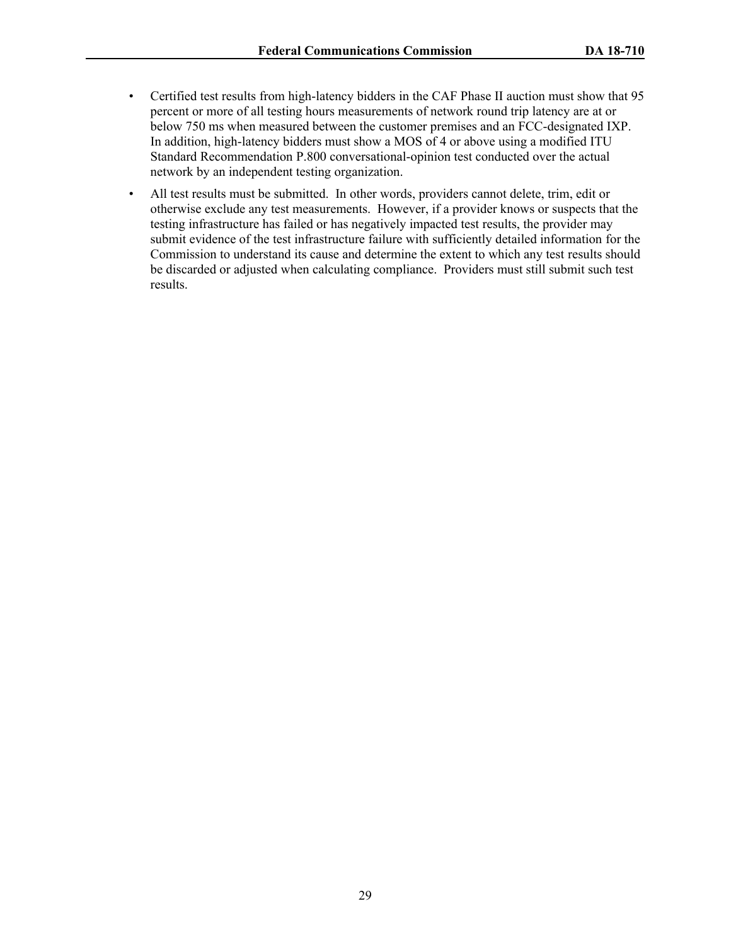- Certified test results from high-latency bidders in the CAF Phase II auction must show that 95 percent or more of all testing hours measurements of network round trip latency are at or below 750 ms when measured between the customer premises and an FCC-designated IXP. In addition, high-latency bidders must show a MOS of 4 or above using a modified ITU Standard Recommendation P.800 conversational-opinion test conducted over the actual network by an independent testing organization.
- All test results must be submitted. In other words, providers cannot delete, trim, edit or otherwise exclude any test measurements. However, if a provider knows or suspects that the testing infrastructure has failed or has negatively impacted test results, the provider may submit evidence of the test infrastructure failure with sufficiently detailed information for the Commission to understand its cause and determine the extent to which any test results should be discarded or adjusted when calculating compliance. Providers must still submit such test results.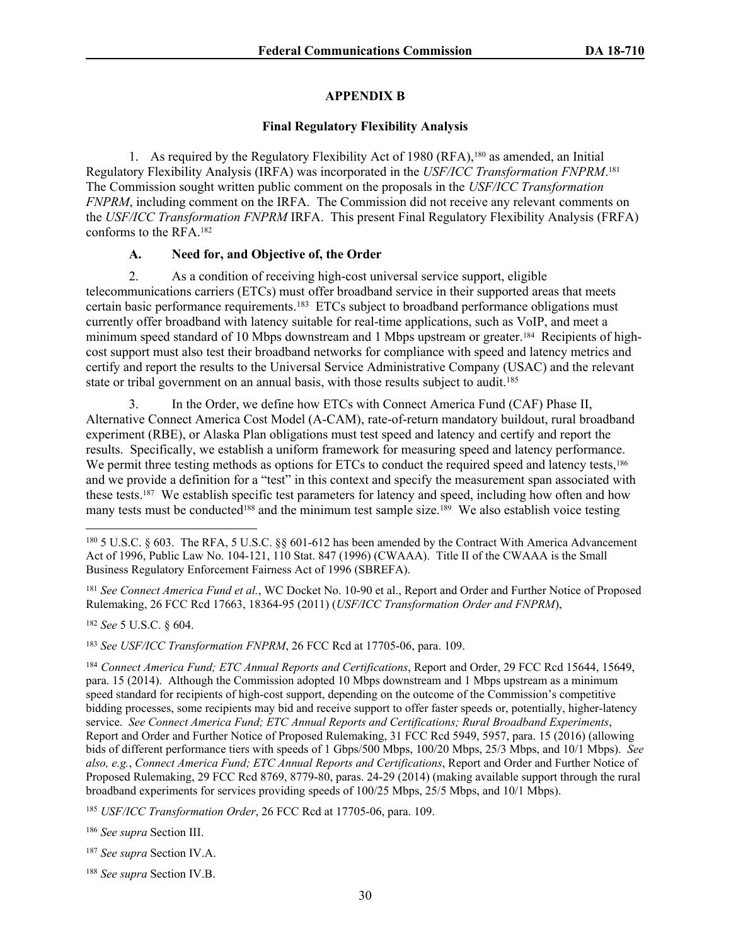### **APPENDIX B**

#### **Final Regulatory Flexibility Analysis**

1. As required by the Regulatory Flexibility Act of 1980 (RFA),<sup>180</sup> as amended, an Initial Regulatory Flexibility Analysis (IRFA) was incorporated in the *USF/ICC Transformation FNPRM*. 181 The Commission sought written public comment on the proposals in the *USF/ICC Transformation FNPRM*, including comment on the IRFA. The Commission did not receive any relevant comments on the *USF/ICC Transformation FNPRM* IRFA. This present Final Regulatory Flexibility Analysis (FRFA) conforms to the RFA.<sup>182</sup>

# **A. Need for, and Objective of, the Order**

2. As a condition of receiving high-cost universal service support, eligible telecommunications carriers (ETCs) must offer broadband service in their supported areas that meets certain basic performance requirements.<sup>183</sup> ETCs subject to broadband performance obligations must currently offer broadband with latency suitable for real-time applications, such as VoIP, and meet a minimum speed standard of 10 Mbps downstream and 1 Mbps upstream or greater.<sup>184</sup> Recipients of highcost support must also test their broadband networks for compliance with speed and latency metrics and certify and report the results to the Universal Service Administrative Company (USAC) and the relevant state or tribal government on an annual basis, with those results subject to audit.<sup>185</sup>

3. In the Order, we define how ETCs with Connect America Fund (CAF) Phase II, Alternative Connect America Cost Model (A-CAM), rate-of-return mandatory buildout, rural broadband experiment (RBE), or Alaska Plan obligations must test speed and latency and certify and report the results. Specifically, we establish a uniform framework for measuring speed and latency performance. We permit three testing methods as options for ETCs to conduct the required speed and latency tests,<sup>186</sup> and we provide a definition for a "test" in this context and specify the measurement span associated with these tests.<sup>187</sup> We establish specific test parameters for latency and speed, including how often and how many tests must be conducted<sup>188</sup> and the minimum test sample size.<sup>189</sup> We also establish voice testing

<sup>182</sup> *See* 5 U.S.C. § 604.

<sup>183</sup> *See USF/ICC Transformation FNPRM*, 26 FCC Rcd at 17705-06, para. 109.

<sup>186</sup> *See supra* Section III.

<sup>188</sup> *See supra* Section IV.B.

<sup>180</sup> 5 U.S.C. § 603. The RFA, 5 U.S.C. §§ 601-612 has been amended by the Contract With America Advancement Act of 1996, Public Law No. 104-121, 110 Stat. 847 (1996) (CWAAA). Title II of the CWAAA is the Small Business Regulatory Enforcement Fairness Act of 1996 (SBREFA).

<sup>181</sup> *See Connect America Fund et al.*, WC Docket No. 10-90 et al., Report and Order and Further Notice of Proposed Rulemaking, 26 FCC Rcd 17663, 18364-95 (2011) (*USF/ICC Transformation Order and FNPRM*),

<sup>184</sup> *Connect America Fund; ETC Annual Reports and Certifications*, Report and Order, 29 FCC Rcd 15644, 15649, para. 15 (2014). Although the Commission adopted 10 Mbps downstream and 1 Mbps upstream as a minimum speed standard for recipients of high-cost support, depending on the outcome of the Commission's competitive bidding processes, some recipients may bid and receive support to offer faster speeds or, potentially, higher-latency service. *See Connect America Fund; ETC Annual Reports and Certifications; Rural Broadband Experiments*, Report and Order and Further Notice of Proposed Rulemaking, 31 FCC Rcd 5949, 5957, para. 15 (2016) (allowing bids of different performance tiers with speeds of 1 Gbps/500 Mbps, 100/20 Mbps, 25/3 Mbps, and 10/1 Mbps). *See also, e.g.*, *Connect America Fund; ETC Annual Reports and Certifications*, Report and Order and Further Notice of Proposed Rulemaking, 29 FCC Rcd 8769, 8779-80, paras. 24-29 (2014) (making available support through the rural broadband experiments for services providing speeds of 100/25 Mbps, 25/5 Mbps, and 10/1 Mbps).

<sup>185</sup> *USF/ICC Transformation Order*, 26 FCC Rcd at 17705-06, para. 109.

<sup>187</sup> *See supra* Section IV.A.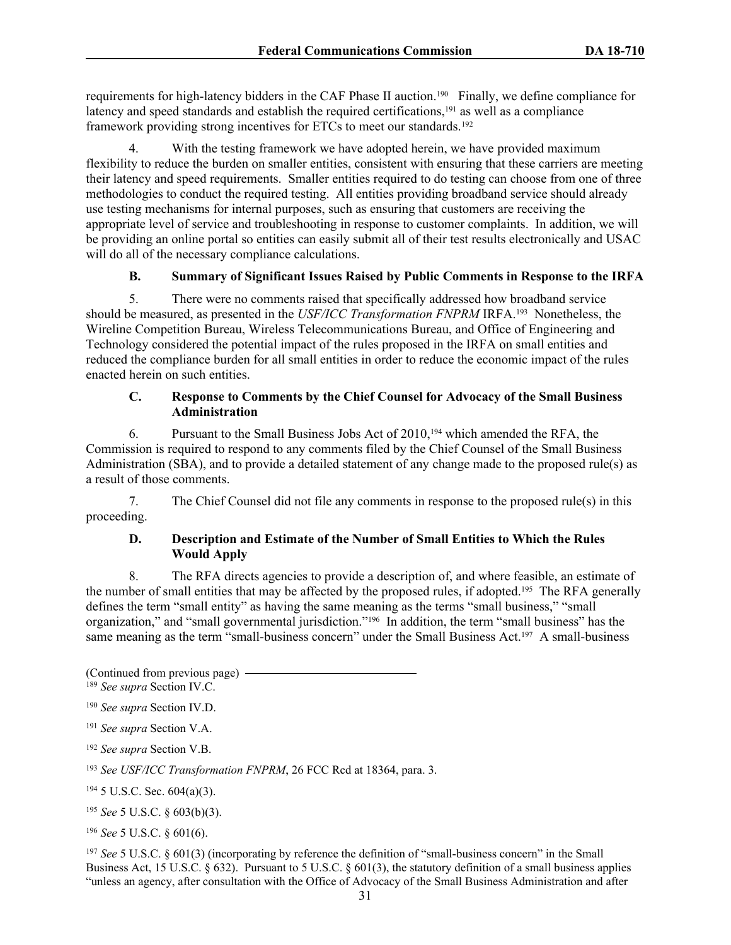requirements for high-latency bidders in the CAF Phase II auction.<sup>190</sup> Finally, we define compliance for latency and speed standards and establish the required certifications,<sup>191</sup> as well as a compliance framework providing strong incentives for ETCs to meet our standards.<sup>192</sup>

With the testing framework we have adopted herein, we have provided maximum flexibility to reduce the burden on smaller entities, consistent with ensuring that these carriers are meeting their latency and speed requirements. Smaller entities required to do testing can choose from one of three methodologies to conduct the required testing. All entities providing broadband service should already use testing mechanisms for internal purposes, such as ensuring that customers are receiving the appropriate level of service and troubleshooting in response to customer complaints. In addition, we will be providing an online portal so entities can easily submit all of their test results electronically and USAC will do all of the necessary compliance calculations.

### **B. Summary of Significant Issues Raised by Public Comments in Response to the IRFA**

5. There were no comments raised that specifically addressed how broadband service should be measured, as presented in the *USF/ICC Transformation FNPRM* IRFA.<sup>193</sup> Nonetheless, the Wireline Competition Bureau, Wireless Telecommunications Bureau, and Office of Engineering and Technology considered the potential impact of the rules proposed in the IRFA on small entities and reduced the compliance burden for all small entities in order to reduce the economic impact of the rules enacted herein on such entities.

### **C. Response to Comments by the Chief Counsel for Advocacy of the Small Business Administration**

6. Pursuant to the Small Business Jobs Act of 2010,<sup>194</sup> which amended the RFA, the Commission is required to respond to any comments filed by the Chief Counsel of the Small Business Administration (SBA), and to provide a detailed statement of any change made to the proposed rule(s) as a result of those comments.

7. The Chief Counsel did not file any comments in response to the proposed rule(s) in this proceeding.

### **D. Description and Estimate of the Number of Small Entities to Which the Rules Would Apply**

8. The RFA directs agencies to provide a description of, and where feasible, an estimate of the number of small entities that may be affected by the proposed rules, if adopted.<sup>195</sup> The RFA generally defines the term "small entity" as having the same meaning as the terms "small business," "small organization," and "small governmental jurisdiction."<sup>196</sup> In addition, the term "small business" has the same meaning as the term "small-business concern" under the Small Business Act.<sup>197</sup> A small-business

(Continued from previous page) <sup>189</sup> *See supra* Section IV.C.

<sup>190</sup> *See supra* Section IV.D.

<sup>191</sup> *See supra* Section V.A.

<sup>192</sup> *See supra* Section V.B.

<sup>193</sup> *See USF/ICC Transformation FNPRM*, 26 FCC Rcd at 18364, para. 3.

<sup>194</sup> 5 U.S.C. Sec. 604(a)(3).

<sup>195</sup> *See* 5 U.S.C. § 603(b)(3).

<sup>196</sup> *See* 5 U.S.C. § 601(6).

<sup>197</sup> *See* 5 U.S.C. § 601(3) (incorporating by reference the definition of "small-business concern" in the Small Business Act, 15 U.S.C. § 632). Pursuant to 5 U.S.C. § 601(3), the statutory definition of a small business applies "unless an agency, after consultation with the Office of Advocacy of the Small Business Administration and after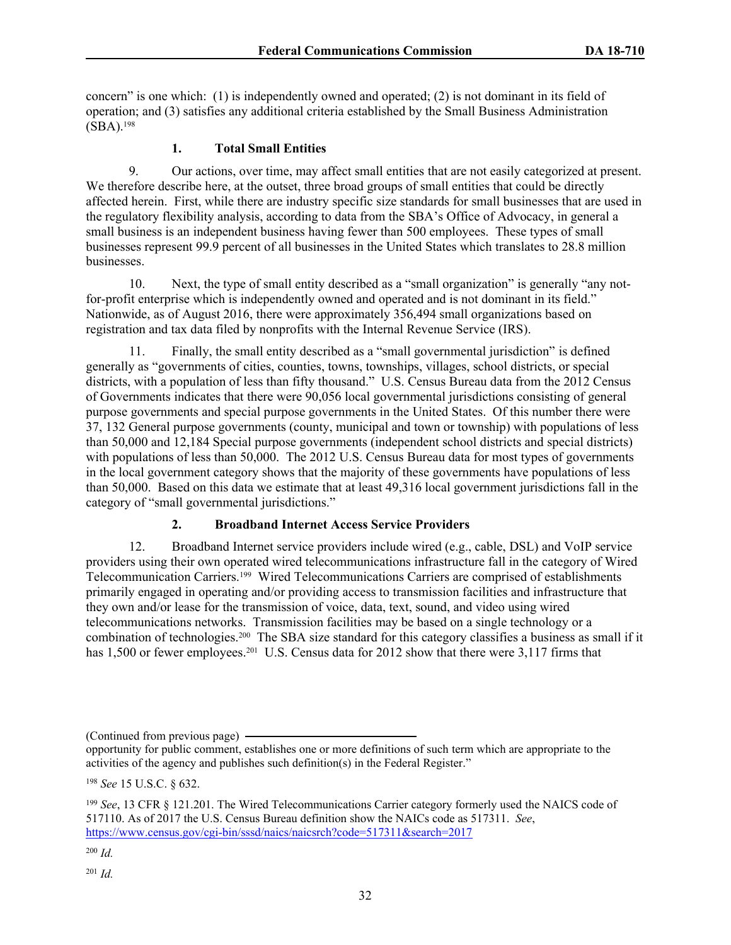concern" is one which: (1) is independently owned and operated; (2) is not dominant in its field of operation; and (3) satisfies any additional criteria established by the Small Business Administration (SBA).<sup>198</sup>

# **1. Total Small Entities**

9. Our actions, over time, may affect small entities that are not easily categorized at present. We therefore describe here, at the outset, three broad groups of small entities that could be directly affected herein. First, while there are industry specific size standards for small businesses that are used in the regulatory flexibility analysis, according to data from the SBA's Office of Advocacy, in general a small business is an independent business having fewer than 500 employees. These types of small businesses represent 99.9 percent of all businesses in the United States which translates to 28.8 million businesses.

10. Next, the type of small entity described as a "small organization" is generally "any notfor-profit enterprise which is independently owned and operated and is not dominant in its field." Nationwide, as of August 2016, there were approximately 356,494 small organizations based on registration and tax data filed by nonprofits with the Internal Revenue Service (IRS).

11. Finally, the small entity described as a "small governmental jurisdiction" is defined generally as "governments of cities, counties, towns, townships, villages, school districts, or special districts, with a population of less than fifty thousand." U.S. Census Bureau data from the 2012 Census of Governments indicates that there were 90,056 local governmental jurisdictions consisting of general purpose governments and special purpose governments in the United States. Of this number there were 37, 132 General purpose governments (county, municipal and town or township) with populations of less than 50,000 and 12,184 Special purpose governments (independent school districts and special districts) with populations of less than 50,000. The 2012 U.S. Census Bureau data for most types of governments in the local government category shows that the majority of these governments have populations of less than 50,000. Based on this data we estimate that at least 49,316 local government jurisdictions fall in the category of "small governmental jurisdictions."

# **2. Broadband Internet Access Service Providers**

12. Broadband Internet service providers include wired (e.g., cable, DSL) and VoIP service providers using their own operated wired telecommunications infrastructure fall in the category of Wired Telecommunication Carriers.<sup>199</sup> Wired Telecommunications Carriers are comprised of establishments primarily engaged in operating and/or providing access to transmission facilities and infrastructure that they own and/or lease for the transmission of voice, data, text, sound, and video using wired telecommunications networks. Transmission facilities may be based on a single technology or a combination of technologies.<sup>200</sup> The SBA size standard for this category classifies a business as small if it has 1,500 or fewer employees.<sup>201</sup> U.S. Census data for 2012 show that there were 3,117 firms that

(Continued from previous page)

opportunity for public comment, establishes one or more definitions of such term which are appropriate to the activities of the agency and publishes such definition(s) in the Federal Register."

<sup>198</sup> *See* 15 U.S.C. § 632.

<sup>199</sup> *See*, 13 CFR § 121.201. The Wired Telecommunications Carrier category formerly used the NAICS code of 517110. As of 2017 the U.S. Census Bureau definition show the NAICs code as 517311. *See*, <https://www.census.gov/cgi-bin/sssd/naics/naicsrch?code=517311&search=2017>

<sup>200</sup> *Id.*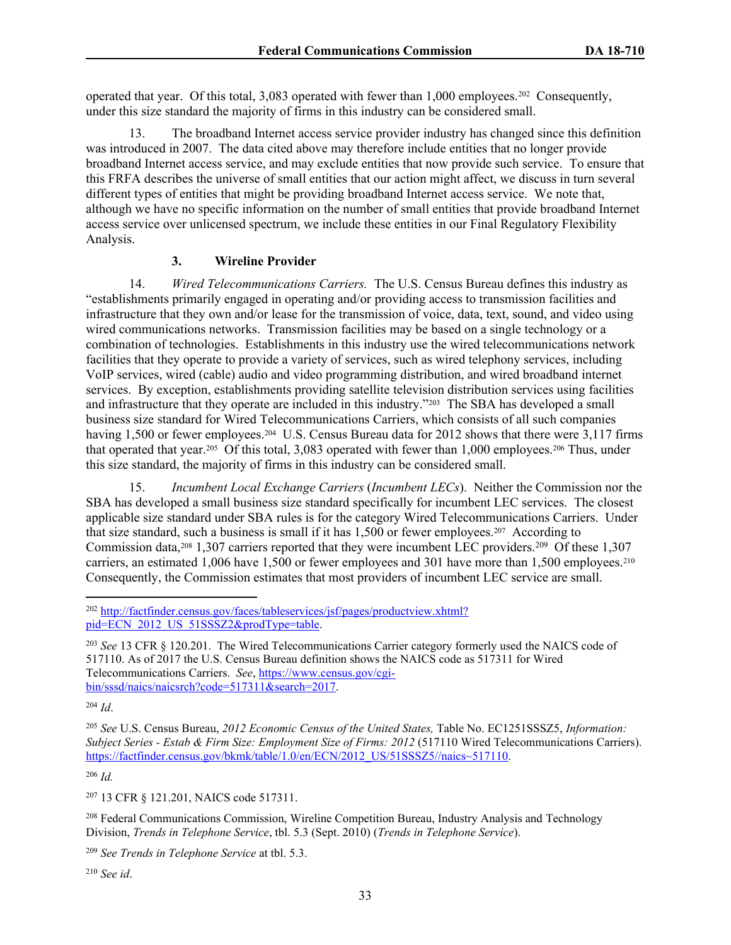operated that year. Of this total, 3,083 operated with fewer than 1,000 employees.<sup>202</sup> Consequently, under this size standard the majority of firms in this industry can be considered small.

13. The broadband Internet access service provider industry has changed since this definition was introduced in 2007. The data cited above may therefore include entities that no longer provide broadband Internet access service, and may exclude entities that now provide such service. To ensure that this FRFA describes the universe of small entities that our action might affect, we discuss in turn several different types of entities that might be providing broadband Internet access service. We note that, although we have no specific information on the number of small entities that provide broadband Internet access service over unlicensed spectrum, we include these entities in our Final Regulatory Flexibility Analysis.

### **3. Wireline Provider**

14. *Wired Telecommunications Carriers.* The U.S. Census Bureau defines this industry as "establishments primarily engaged in operating and/or providing access to transmission facilities and infrastructure that they own and/or lease for the transmission of voice, data, text, sound, and video using wired communications networks. Transmission facilities may be based on a single technology or a combination of technologies. Establishments in this industry use the wired telecommunications network facilities that they operate to provide a variety of services, such as wired telephony services, including VoIP services, wired (cable) audio and video programming distribution, and wired broadband internet services. By exception, establishments providing satellite television distribution services using facilities and infrastructure that they operate are included in this industry."<sup>203</sup> The SBA has developed a small business size standard for Wired Telecommunications Carriers, which consists of all such companies having 1,500 or fewer employees.<sup>204</sup> U.S. Census Bureau data for 2012 shows that there were 3,117 firms that operated that year.<sup>205</sup> Of this total, 3,083 operated with fewer than 1,000 employees.<sup>206</sup> Thus, under this size standard, the majority of firms in this industry can be considered small.

15. *Incumbent Local Exchange Carriers* (*Incumbent LECs*). Neither the Commission nor the SBA has developed a small business size standard specifically for incumbent LEC services. The closest applicable size standard under SBA rules is for the category Wired Telecommunications Carriers. Under that size standard, such a business is small if it has 1,500 or fewer employees.<sup>207</sup> According to Commission data, <sup>208</sup> 1,307 carriers reported that they were incumbent LEC providers.<sup>209</sup> Of these 1,307 carriers, an estimated 1,006 have 1,500 or fewer employees and 301 have more than 1,500 employees.<sup>210</sup> Consequently, the Commission estimates that most providers of incumbent LEC service are small.

<sup>206</sup> *Id.*

<sup>207</sup> 13 CFR § 121.201, NAICS code 517311.

<sup>208</sup> Federal Communications Commission, Wireline Competition Bureau, Industry Analysis and Technology Division, *Trends in Telephone Service*, tbl. 5.3 (Sept. 2010) (*Trends in Telephone Service*).

<sup>209</sup> *See Trends in Telephone Service* at tbl. 5.3.

<sup>210</sup> *See id*.

<sup>202</sup> [http://factfinder.census.gov/faces/tableservices/jsf/pages/productview.xhtml?](http://factfinder.census.gov/faces/tableservices/jsf/pages/productview.xhtml?%20pid=ECN_2012_US_51SSSZ2&prodType=table) [pid=ECN\\_2012\\_US\\_51SSSZ2&prodType=table.](http://factfinder.census.gov/faces/tableservices/jsf/pages/productview.xhtml?%20pid=ECN_2012_US_51SSSZ2&prodType=table)

<sup>203</sup> *See* 13 CFR § 120.201. The Wired Telecommunications Carrier category formerly used the NAICS code of 517110. As of 2017 the U.S. Census Bureau definition shows the NAICS code as 517311 for Wired Telecommunications Carriers. *See*, [https://www.census.gov/cgi](https://www.census.gov/cgi-bin/sssd/naics/naicsrch?code=517311&search=2017)[bin/sssd/naics/naicsrch?code=517311&search=2017.](https://www.census.gov/cgi-bin/sssd/naics/naicsrch?code=517311&search=2017)

<sup>204</sup> *Id*.

<sup>205</sup> *See* U.S. Census Bureau, *2012 Economic Census of the United States,* Table No. EC1251SSSZ5, *Information: Subject Series - Estab & Firm Size: Employment Size of Firms: 2012* (517110 Wired Telecommunications Carriers). [https://factfinder.census.gov/bkmk/table/1.0/en/ECN/2012\\_US/51SSSZ5//naics~517110.](https://factfinder.census.gov/bkmk/table/1.0/en/ECN/2012_US/51SSSZ5//naics~517110)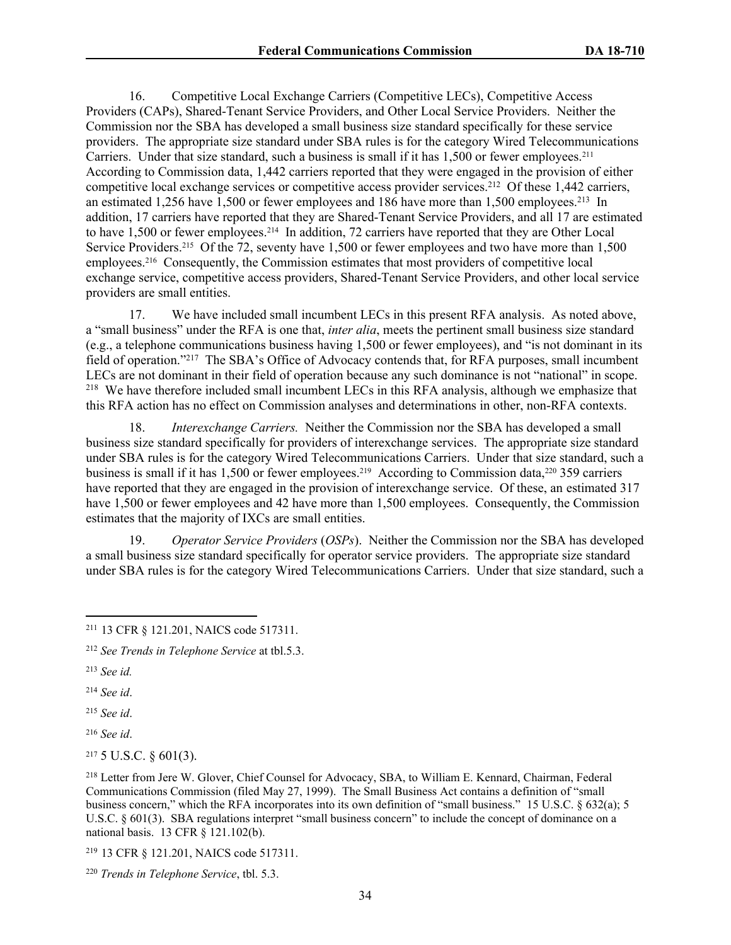16. Competitive Local Exchange Carriers (Competitive LECs), Competitive Access Providers (CAPs), Shared-Tenant Service Providers, and Other Local Service Providers. Neither the Commission nor the SBA has developed a small business size standard specifically for these service providers. The appropriate size standard under SBA rules is for the category Wired Telecommunications Carriers. Under that size standard, such a business is small if it has 1,500 or fewer employees.<sup>211</sup> According to Commission data, 1,442 carriers reported that they were engaged in the provision of either competitive local exchange services or competitive access provider services.<sup>212</sup> Of these 1,442 carriers, an estimated 1,256 have 1,500 or fewer employees and 186 have more than 1,500 employees.<sup>213</sup> In addition, 17 carriers have reported that they are Shared-Tenant Service Providers, and all 17 are estimated to have 1,500 or fewer employees.<sup>214</sup> In addition, 72 carriers have reported that they are Other Local Service Providers.<sup>215</sup> Of the 72, seventy have 1,500 or fewer employees and two have more than 1,500 employees.<sup>216</sup> Consequently, the Commission estimates that most providers of competitive local exchange service, competitive access providers, Shared-Tenant Service Providers, and other local service providers are small entities.

17. We have included small incumbent LECs in this present RFA analysis. As noted above, a "small business" under the RFA is one that, *inter alia*, meets the pertinent small business size standard (e.g., a telephone communications business having 1,500 or fewer employees), and "is not dominant in its field of operation."<sup>217</sup> The SBA's Office of Advocacy contends that, for RFA purposes, small incumbent LECs are not dominant in their field of operation because any such dominance is not "national" in scope. <sup>218</sup> We have therefore included small incumbent LECs in this RFA analysis, although we emphasize that this RFA action has no effect on Commission analyses and determinations in other, non-RFA contexts.

18. *Interexchange Carriers.* Neither the Commission nor the SBA has developed a small business size standard specifically for providers of interexchange services. The appropriate size standard under SBA rules is for the category Wired Telecommunications Carriers. Under that size standard, such a business is small if it has 1,500 or fewer employees.<sup>219</sup> According to Commission data,<sup>220</sup> 359 carriers have reported that they are engaged in the provision of interexchange service. Of these, an estimated 317 have 1,500 or fewer employees and 42 have more than 1,500 employees. Consequently, the Commission estimates that the majority of IXCs are small entities.

19. *Operator Service Providers* (*OSPs*). Neither the Commission nor the SBA has developed a small business size standard specifically for operator service providers. The appropriate size standard under SBA rules is for the category Wired Telecommunications Carriers. Under that size standard, such a

<sup>213</sup> *See id.*

<sup>214</sup> *See id*.

<sup>215</sup> *See id*.

<sup>216</sup> *See id*.

<sup>217</sup> 5 U.S.C. § 601(3).

<sup>218</sup> Letter from Jere W. Glover, Chief Counsel for Advocacy, SBA, to William E. Kennard, Chairman, Federal Communications Commission (filed May 27, 1999). The Small Business Act contains a definition of "small business concern," which the RFA incorporates into its own definition of "small business." 15 U.S.C. § 632(a); 5 U.S.C. § 601(3). SBA regulations interpret "small business concern" to include the concept of dominance on a national basis. 13 CFR § 121.102(b).

<sup>219</sup> 13 CFR § 121.201, NAICS code 517311.

<sup>211</sup> 13 CFR § 121.201, NAICS code 517311.

<sup>212</sup> *See Trends in Telephone Service* at tbl.5.3.

<sup>220</sup> *Trends in Telephone Service*, tbl. 5.3.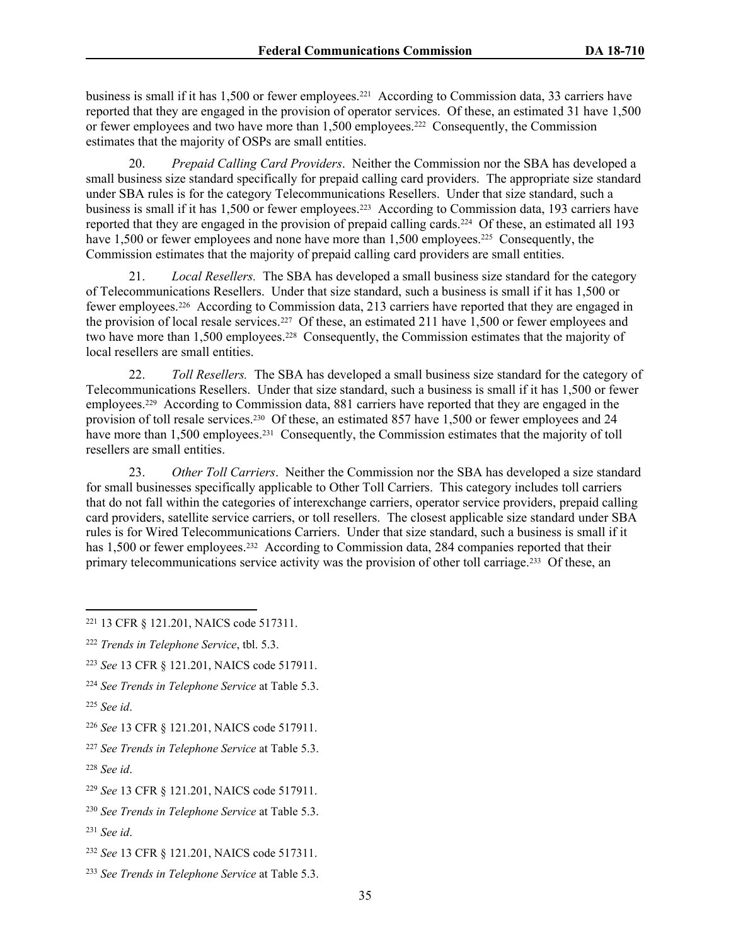business is small if it has 1,500 or fewer employees.<sup>221</sup> According to Commission data, 33 carriers have reported that they are engaged in the provision of operator services. Of these, an estimated 31 have 1,500 or fewer employees and two have more than 1,500 employees.<sup>222</sup> Consequently, the Commission estimates that the majority of OSPs are small entities.

20. *Prepaid Calling Card Providers*. Neither the Commission nor the SBA has developed a small business size standard specifically for prepaid calling card providers. The appropriate size standard under SBA rules is for the category Telecommunications Resellers. Under that size standard, such a business is small if it has 1,500 or fewer employees.<sup>223</sup> According to Commission data, 193 carriers have reported that they are engaged in the provision of prepaid calling cards.<sup>224</sup> Of these, an estimated all 193 have 1,500 or fewer employees and none have more than 1,500 employees.<sup>225</sup> Consequently, the Commission estimates that the majority of prepaid calling card providers are small entities.

21. *Local Resellers.* The SBA has developed a small business size standard for the category of Telecommunications Resellers. Under that size standard, such a business is small if it has 1,500 or fewer employees.<sup>226</sup> According to Commission data, 213 carriers have reported that they are engaged in the provision of local resale services.<sup>227</sup> Of these, an estimated 211 have 1,500 or fewer employees and two have more than 1,500 employees.<sup>228</sup> Consequently, the Commission estimates that the majority of local resellers are small entities.

22. *Toll Resellers.* The SBA has developed a small business size standard for the category of Telecommunications Resellers. Under that size standard, such a business is small if it has 1,500 or fewer employees.<sup>229</sup> According to Commission data, 881 carriers have reported that they are engaged in the provision of toll resale services.<sup>230</sup> Of these, an estimated 857 have 1,500 or fewer employees and 24 have more than 1,500 employees.<sup>231</sup> Consequently, the Commission estimates that the majority of toll resellers are small entities.

23. *Other Toll Carriers*. Neither the Commission nor the SBA has developed a size standard for small businesses specifically applicable to Other Toll Carriers. This category includes toll carriers that do not fall within the categories of interexchange carriers, operator service providers, prepaid calling card providers, satellite service carriers, or toll resellers. The closest applicable size standard under SBA rules is for Wired Telecommunications Carriers. Under that size standard, such a business is small if it has 1,500 or fewer employees.<sup>232</sup> According to Commission data, 284 companies reported that their primary telecommunications service activity was the provision of other toll carriage.<sup>233</sup> Of these, an

<sup>224</sup> *See Trends in Telephone Service* at Table 5.3.

<sup>221</sup> 13 CFR § 121.201, NAICS code 517311.

<sup>222</sup> *Trends in Telephone Service*, tbl. 5.3.

<sup>223</sup> *See* 13 CFR § 121.201, NAICS code 517911.

<sup>225</sup> *See id*.

<sup>226</sup> *See* 13 CFR § 121.201, NAICS code 517911.

<sup>227</sup> *See Trends in Telephone Service* at Table 5.3.

<sup>228</sup> *See id*.

<sup>229</sup> *See* 13 CFR § 121.201, NAICS code 517911.

<sup>230</sup> *See Trends in Telephone Service* at Table 5.3.

<sup>231</sup> *See id*.

<sup>232</sup> *See* 13 CFR § 121.201, NAICS code 517311.

<sup>233</sup> *See Trends in Telephone Service* at Table 5.3.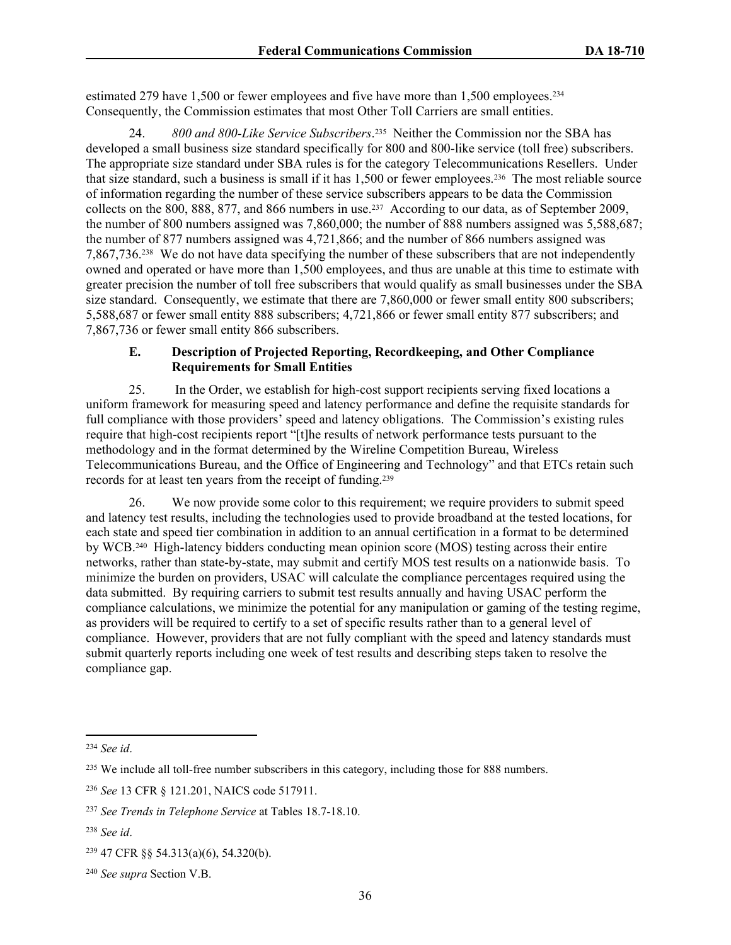estimated 279 have 1,500 or fewer employees and five have more than 1,500 employees.<sup>234</sup> Consequently, the Commission estimates that most Other Toll Carriers are small entities.

24. *800 and 800-Like Service Subscribers*. 235 Neither the Commission nor the SBA has developed a small business size standard specifically for 800 and 800-like service (toll free) subscribers. The appropriate size standard under SBA rules is for the category Telecommunications Resellers. Under that size standard, such a business is small if it has 1,500 or fewer employees.<sup>236</sup> The most reliable source of information regarding the number of these service subscribers appears to be data the Commission collects on the 800, 888, 877, and 866 numbers in use.<sup>237</sup> According to our data, as of September 2009, the number of 800 numbers assigned was 7,860,000; the number of 888 numbers assigned was 5,588,687; the number of 877 numbers assigned was 4,721,866; and the number of 866 numbers assigned was 7,867,736.<sup>238</sup> We do not have data specifying the number of these subscribers that are not independently owned and operated or have more than 1,500 employees, and thus are unable at this time to estimate with greater precision the number of toll free subscribers that would qualify as small businesses under the SBA size standard. Consequently, we estimate that there are 7,860,000 or fewer small entity 800 subscribers; 5,588,687 or fewer small entity 888 subscribers; 4,721,866 or fewer small entity 877 subscribers; and 7,867,736 or fewer small entity 866 subscribers.

### **E. Description of Projected Reporting, Recordkeeping, and Other Compliance Requirements for Small Entities**

25. In the Order, we establish for high-cost support recipients serving fixed locations a uniform framework for measuring speed and latency performance and define the requisite standards for full compliance with those providers' speed and latency obligations. The Commission's existing rules require that high-cost recipients report "[t]he results of network performance tests pursuant to the methodology and in the format determined by the Wireline Competition Bureau, Wireless Telecommunications Bureau, and the Office of Engineering and Technology" and that ETCs retain such records for at least ten years from the receipt of funding.<sup>239</sup>

26. We now provide some color to this requirement; we require providers to submit speed and latency test results, including the technologies used to provide broadband at the tested locations, for each state and speed tier combination in addition to an annual certification in a format to be determined by WCB.<sup>240</sup> High-latency bidders conducting mean opinion score (MOS) testing across their entire networks, rather than state-by-state, may submit and certify MOS test results on a nationwide basis. To minimize the burden on providers, USAC will calculate the compliance percentages required using the data submitted. By requiring carriers to submit test results annually and having USAC perform the compliance calculations, we minimize the potential for any manipulation or gaming of the testing regime, as providers will be required to certify to a set of specific results rather than to a general level of compliance. However, providers that are not fully compliant with the speed and latency standards must submit quarterly reports including one week of test results and describing steps taken to resolve the compliance gap.

<sup>234</sup> *See id*.

<sup>&</sup>lt;sup>235</sup> We include all toll-free number subscribers in this category, including those for 888 numbers.

<sup>236</sup> *See* 13 CFR § 121.201, NAICS code 517911.

<sup>237</sup> *See Trends in Telephone Service* at Tables 18.7-18.10.

<sup>238</sup> *See id*.

<sup>239</sup> 47 CFR §§ 54.313(a)(6), 54.320(b).

<sup>240</sup> *See supra* Section V.B.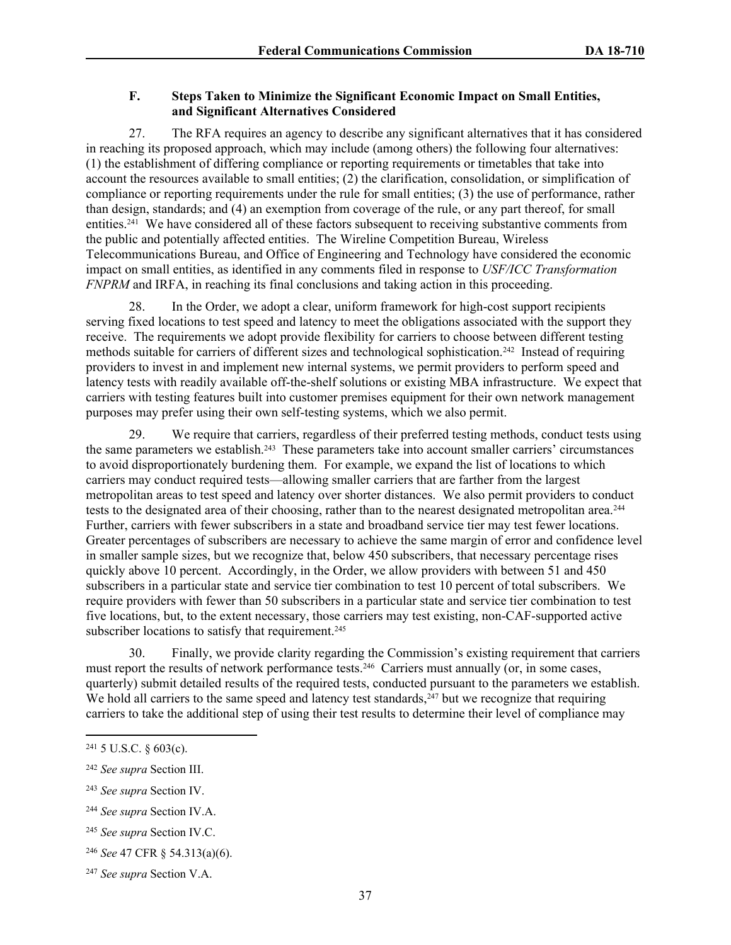### **F. Steps Taken to Minimize the Significant Economic Impact on Small Entities, and Significant Alternatives Considered**

27. The RFA requires an agency to describe any significant alternatives that it has considered in reaching its proposed approach, which may include (among others) the following four alternatives: (1) the establishment of differing compliance or reporting requirements or timetables that take into account the resources available to small entities; (2) the clarification, consolidation, or simplification of compliance or reporting requirements under the rule for small entities; (3) the use of performance, rather than design, standards; and (4) an exemption from coverage of the rule, or any part thereof, for small entities.<sup>241</sup> We have considered all of these factors subsequent to receiving substantive comments from the public and potentially affected entities. The Wireline Competition Bureau, Wireless Telecommunications Bureau, and Office of Engineering and Technology have considered the economic impact on small entities, as identified in any comments filed in response to *USF/ICC Transformation FNPRM* and IRFA, in reaching its final conclusions and taking action in this proceeding.

28. In the Order, we adopt a clear, uniform framework for high-cost support recipients serving fixed locations to test speed and latency to meet the obligations associated with the support they receive. The requirements we adopt provide flexibility for carriers to choose between different testing methods suitable for carriers of different sizes and technological sophistication.<sup>242</sup> Instead of requiring providers to invest in and implement new internal systems, we permit providers to perform speed and latency tests with readily available off-the-shelf solutions or existing MBA infrastructure. We expect that carriers with testing features built into customer premises equipment for their own network management purposes may prefer using their own self-testing systems, which we also permit.

29. We require that carriers, regardless of their preferred testing methods, conduct tests using the same parameters we establish.<sup>243</sup> These parameters take into account smaller carriers' circumstances to avoid disproportionately burdening them. For example, we expand the list of locations to which carriers may conduct required tests—allowing smaller carriers that are farther from the largest metropolitan areas to test speed and latency over shorter distances. We also permit providers to conduct tests to the designated area of their choosing, rather than to the nearest designated metropolitan area.<sup>244</sup> Further, carriers with fewer subscribers in a state and broadband service tier may test fewer locations. Greater percentages of subscribers are necessary to achieve the same margin of error and confidence level in smaller sample sizes, but we recognize that, below 450 subscribers, that necessary percentage rises quickly above 10 percent. Accordingly, in the Order, we allow providers with between 51 and 450 subscribers in a particular state and service tier combination to test 10 percent of total subscribers. We require providers with fewer than 50 subscribers in a particular state and service tier combination to test five locations, but, to the extent necessary, those carriers may test existing, non-CAF-supported active subscriber locations to satisfy that requirement.<sup>245</sup>

30. Finally, we provide clarity regarding the Commission's existing requirement that carriers must report the results of network performance tests.<sup>246</sup> Carriers must annually (or, in some cases, quarterly) submit detailed results of the required tests, conducted pursuant to the parameters we establish. We hold all carriers to the same speed and latency test standards,  $247$  but we recognize that requiring carriers to take the additional step of using their test results to determine their level of compliance may

 $241$  5 U.S.C. § 603(c).

<sup>242</sup> *See supra* Section III.

<sup>243</sup> *See supra* Section IV.

<sup>244</sup> *See supra* Section IV.A.

<sup>245</sup> *See supra* Section IV.C.

<sup>246</sup> *See* 47 CFR § 54.313(a)(6).

<sup>247</sup> *See supra* Section V.A.